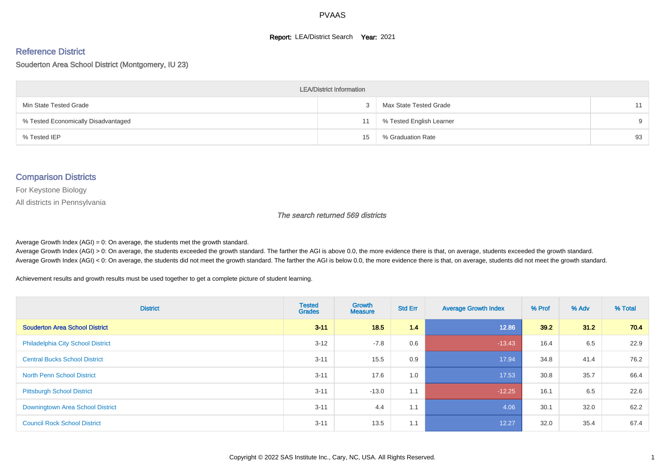#### **Report: LEA/District Search Year: 2021**

#### Reference District

#### Souderton Area School District (Montgomery, IU 23)

| <b>LEA/District Information</b>     |    |                          |          |  |  |  |  |  |  |  |
|-------------------------------------|----|--------------------------|----------|--|--|--|--|--|--|--|
| Min State Tested Grade              |    | Max State Tested Grade   | 11       |  |  |  |  |  |  |  |
| % Tested Economically Disadvantaged | 11 | % Tested English Learner | $\Omega$ |  |  |  |  |  |  |  |
| % Tested IEP                        | 15 | % Graduation Rate        | 93       |  |  |  |  |  |  |  |

#### Comparison Districts

For Keystone Biology

All districts in Pennsylvania

The search returned 569 districts

Average Growth Index  $(AGI) = 0$ : On average, the students met the growth standard.

Average Growth Index (AGI) > 0: On average, the students exceeded the growth standard. The farther the AGI is above 0.0, the more evidence there is that, on average, students exceeded the growth standard. Average Growth Index (AGI) < 0: On average, the students did not meet the growth standard. The farther the AGI is below 0.0, the more evidence there is that, on average, students did not meet the growth standard.

Achievement results and growth results must be used together to get a complete picture of student learning.

| <b>District</b>                          | <b>Tested</b><br><b>Grades</b> | Growth<br><b>Measure</b> | <b>Std Err</b> | <b>Average Growth Index</b> | % Prof | % Adv | % Total |
|------------------------------------------|--------------------------------|--------------------------|----------------|-----------------------------|--------|-------|---------|
| <b>Souderton Area School District</b>    | $3 - 11$                       | 18.5                     | 1.4            | 12.86                       | 39.2   | 31.2  | 70.4    |
| <b>Philadelphia City School District</b> | $3 - 12$                       | $-7.8$                   | 0.6            | $-13.43$                    | 16.4   | 6.5   | 22.9    |
| <b>Central Bucks School District</b>     | $3 - 11$                       | 15.5                     | 0.9            | 17.94                       | 34.8   | 41.4  | 76.2    |
| <b>North Penn School District</b>        | $3 - 11$                       | 17.6                     | 1.0            | 17.53                       | 30.8   | 35.7  | 66.4    |
| <b>Pittsburgh School District</b>        | $3 - 11$                       | $-13.0$                  | 1.1            | $-12.25$                    | 16.1   | 6.5   | 22.6    |
| Downingtown Area School District         | $3 - 11$                       | 4.4                      | 1.1            | 4.06                        | 30.1   | 32.0  | 62.2    |
| <b>Council Rock School District</b>      | $3 - 11$                       | 13.5                     | 1.1            | 12.27                       | 32.0   | 35.4  | 67.4    |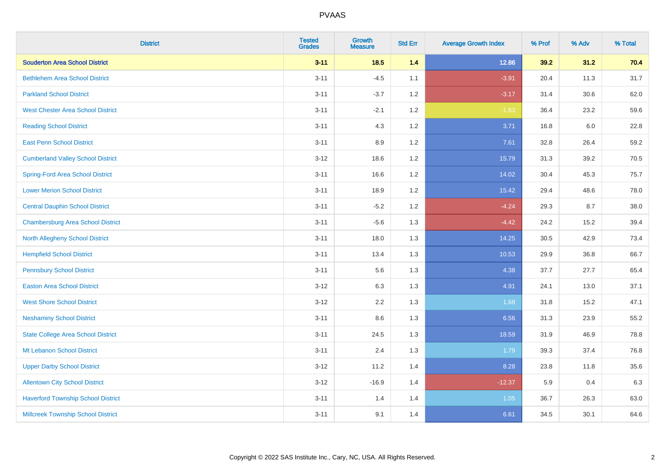| <b>District</b>                           | <b>Tested</b><br><b>Grades</b> | <b>Growth</b><br><b>Measure</b> | <b>Std Err</b> | <b>Average Growth Index</b> | % Prof | % Adv | % Total |
|-------------------------------------------|--------------------------------|---------------------------------|----------------|-----------------------------|--------|-------|---------|
| <b>Souderton Area School District</b>     | $3 - 11$                       | 18.5                            | 1.4            | 12.86                       | 39.2   | 31.2  | 70.4    |
| <b>Bethlehem Area School District</b>     | $3 - 11$                       | $-4.5$                          | 1.1            | $-3.91$                     | 20.4   | 11.3  | 31.7    |
| <b>Parkland School District</b>           | $3 - 11$                       | $-3.7$                          | 1.2            | $-3.17$                     | 31.4   | 30.6  | 62.0    |
| <b>West Chester Area School District</b>  | $3 - 11$                       | $-2.1$                          | 1.2            | $-1.83$                     | 36.4   | 23.2  | 59.6    |
| <b>Reading School District</b>            | $3 - 11$                       | 4.3                             | 1.2            | 3.71                        | 16.8   | 6.0   | 22.8    |
| <b>East Penn School District</b>          | $3 - 11$                       | 8.9                             | 1.2            | 7.61                        | 32.8   | 26.4  | 59.2    |
| <b>Cumberland Valley School District</b>  | $3 - 12$                       | 18.6                            | 1.2            | 15.79                       | 31.3   | 39.2  | 70.5    |
| <b>Spring-Ford Area School District</b>   | $3 - 11$                       | 16.6                            | 1.2            | 14.02                       | 30.4   | 45.3  | 75.7    |
| <b>Lower Merion School District</b>       | $3 - 11$                       | 18.9                            | 1.2            | 15.42                       | 29.4   | 48.6  | 78.0    |
| <b>Central Dauphin School District</b>    | $3 - 11$                       | $-5.2$                          | 1.2            | $-4.24$                     | 29.3   | 8.7   | 38.0    |
| <b>Chambersburg Area School District</b>  | $3 - 11$                       | $-5.6$                          | 1.3            | $-4.42$                     | 24.2   | 15.2  | 39.4    |
| North Allegheny School District           | $3 - 11$                       | 18.0                            | 1.3            | 14.25                       | 30.5   | 42.9  | 73.4    |
| <b>Hempfield School District</b>          | $3 - 11$                       | 13.4                            | 1.3            | 10.53                       | 29.9   | 36.8  | 66.7    |
| <b>Pennsbury School District</b>          | $3 - 11$                       | 5.6                             | 1.3            | 4.38                        | 37.7   | 27.7  | 65.4    |
| <b>Easton Area School District</b>        | $3 - 12$                       | 6.3                             | 1.3            | 4.91                        | 24.1   | 13.0  | 37.1    |
| <b>West Shore School District</b>         | $3 - 12$                       | 2.2                             | 1.3            | 1.68                        | 31.8   | 15.2  | 47.1    |
| <b>Neshaminy School District</b>          | $3 - 11$                       | 8.6                             | 1.3            | 6.56                        | 31.3   | 23.9  | 55.2    |
| <b>State College Area School District</b> | $3 - 11$                       | 24.5                            | 1.3            | 18.59                       | 31.9   | 46.9  | 78.8    |
| Mt Lebanon School District                | $3 - 11$                       | 2.4                             | 1.3            | 1.79                        | 39.3   | 37.4  | 76.8    |
| <b>Upper Darby School District</b>        | $3 - 12$                       | 11.2                            | 1.4            | 8.28                        | 23.8   | 11.8  | 35.6    |
| <b>Allentown City School District</b>     | $3-12$                         | $-16.9$                         | 1.4            | $-12.37$                    | 5.9    | 0.4   | 6.3     |
| <b>Haverford Township School District</b> | $3 - 11$                       | 1.4                             | 1.4            | 1.05                        | 36.7   | 26.3  | 63.0    |
| <b>Millcreek Township School District</b> | $3 - 11$                       | 9.1                             | 1.4            | 6.61                        | 34.5   | 30.1  | 64.6    |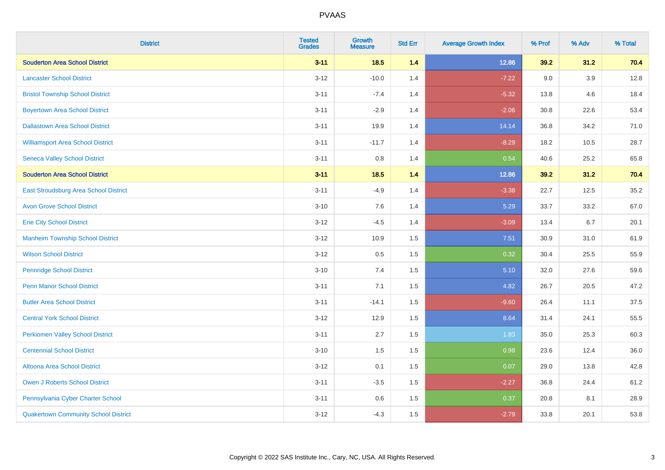| <b>District</b>                             | <b>Tested</b><br><b>Grades</b> | <b>Growth</b><br><b>Measure</b> | <b>Std Err</b> | <b>Average Growth Index</b> | % Prof | % Adv   | % Total |
|---------------------------------------------|--------------------------------|---------------------------------|----------------|-----------------------------|--------|---------|---------|
| <b>Souderton Area School District</b>       | $3 - 11$                       | 18.5                            | 1.4            | 12.86                       | 39.2   | 31.2    | 70.4    |
| <b>Lancaster School District</b>            | $3 - 12$                       | $-10.0$                         | 1.4            | $-7.22$                     | 9.0    | $3.9\,$ | 12.8    |
| <b>Bristol Township School District</b>     | $3 - 11$                       | $-7.4$                          | 1.4            | $-5.32$                     | 13.8   | 4.6     | 18.4    |
| <b>Boyertown Area School District</b>       | $3 - 11$                       | $-2.9$                          | 1.4            | $-2.06$                     | 30.8   | 22.6    | 53.4    |
| <b>Dallastown Area School District</b>      | $3 - 11$                       | 19.9                            | 1.4            | 14.14                       | 36.8   | 34.2    | 71.0    |
| <b>Williamsport Area School District</b>    | $3 - 11$                       | $-11.7$                         | 1.4            | $-8.29$                     | 18.2   | 10.5    | 28.7    |
| <b>Seneca Valley School District</b>        | $3 - 11$                       | $0.8\,$                         | 1.4            | 0.54                        | 40.6   | 25.2    | 65.8    |
| <b>Souderton Area School District</b>       | $3 - 11$                       | 18.5                            | 1.4            | 12.86                       | 39.2   | 31.2    | 70.4    |
| East Stroudsburg Area School District       | $3 - 11$                       | $-4.9$                          | 1.4            | $-3.38$                     | 22.7   | 12.5    | 35.2    |
| <b>Avon Grove School District</b>           | $3 - 10$                       | 7.6                             | 1.4            | 5.29                        | 33.7   | 33.2    | 67.0    |
| <b>Erie City School District</b>            | $3 - 12$                       | $-4.5$                          | 1.4            | $-3.09$                     | 13.4   | 6.7     | 20.1    |
| <b>Manheim Township School District</b>     | $3 - 12$                       | 10.9                            | 1.5            | 7.51                        | 30.9   | 31.0    | 61.9    |
| <b>Wilson School District</b>               | $3 - 12$                       | 0.5                             | 1.5            | 0.32                        | 30.4   | 25.5    | 55.9    |
| <b>Pennridge School District</b>            | $3 - 10$                       | 7.4                             | 1.5            | 5.10                        | 32.0   | 27.6    | 59.6    |
| <b>Penn Manor School District</b>           | $3 - 11$                       | 7.1                             | 1.5            | 4.82                        | 26.7   | 20.5    | 47.2    |
| <b>Butler Area School District</b>          | $3 - 11$                       | $-14.1$                         | 1.5            | $-9.60$                     | 26.4   | 11.1    | 37.5    |
| <b>Central York School District</b>         | $3 - 12$                       | 12.9                            | 1.5            | 8.64                        | 31.4   | 24.1    | 55.5    |
| <b>Perkiomen Valley School District</b>     | $3 - 11$                       | 2.7                             | 1.5            | 1.83                        | 35.0   | 25.3    | 60.3    |
| <b>Centennial School District</b>           | $3 - 10$                       | 1.5                             | 1.5            | 0.98                        | 23.6   | 12.4    | 36.0    |
| Altoona Area School District                | $3 - 12$                       | 0.1                             | 1.5            | 0.07                        | 29.0   | 13.8    | 42.8    |
| Owen J Roberts School District              | $3 - 11$                       | $-3.5$                          | 1.5            | $-2.27$                     | 36.8   | 24.4    | 61.2    |
| Pennsylvania Cyber Charter School           | $3 - 11$                       | 0.6                             | 1.5            | 0.37                        | 20.8   | 8.1     | 28.9    |
| <b>Quakertown Community School District</b> | $3 - 12$                       | $-4.3$                          | 1.5            | $-2.79$                     | 33.8   | 20.1    | 53.8    |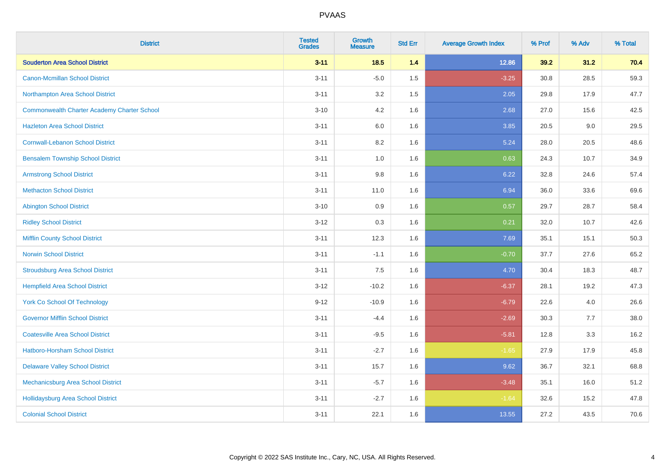| <b>District</b>                                    | <b>Tested</b><br><b>Grades</b> | <b>Growth</b><br><b>Measure</b> | <b>Std Err</b> | <b>Average Growth Index</b> | % Prof | % Adv | % Total |
|----------------------------------------------------|--------------------------------|---------------------------------|----------------|-----------------------------|--------|-------|---------|
| <b>Souderton Area School District</b>              | $3 - 11$                       | 18.5                            | 1.4            | 12.86                       | 39.2   | 31.2  | 70.4    |
| Canon-Mcmillan School District                     | $3 - 11$                       | $-5.0$                          | 1.5            | $-3.25$                     | 30.8   | 28.5  | 59.3    |
| Northampton Area School District                   | $3 - 11$                       | 3.2                             | 1.5            | 2.05                        | 29.8   | 17.9  | 47.7    |
| <b>Commonwealth Charter Academy Charter School</b> | $3 - 10$                       | 4.2                             | 1.6            | 2.68                        | 27.0   | 15.6  | 42.5    |
| <b>Hazleton Area School District</b>               | $3 - 11$                       | 6.0                             | 1.6            | 3.85                        | 20.5   | 9.0   | 29.5    |
| <b>Cornwall-Lebanon School District</b>            | $3 - 11$                       | 8.2                             | 1.6            | 5.24                        | 28.0   | 20.5  | 48.6    |
| <b>Bensalem Township School District</b>           | $3 - 11$                       | 1.0                             | 1.6            | 0.63                        | 24.3   | 10.7  | 34.9    |
| <b>Armstrong School District</b>                   | $3 - 11$                       | $9.8\,$                         | 1.6            | 6.22                        | 32.8   | 24.6  | 57.4    |
| <b>Methacton School District</b>                   | $3 - 11$                       | 11.0                            | 1.6            | 6.94                        | 36.0   | 33.6  | 69.6    |
| <b>Abington School District</b>                    | $3 - 10$                       | 0.9                             | 1.6            | 0.57                        | 29.7   | 28.7  | 58.4    |
| <b>Ridley School District</b>                      | $3 - 12$                       | 0.3                             | 1.6            | 0.21                        | 32.0   | 10.7  | 42.6    |
| <b>Mifflin County School District</b>              | $3 - 11$                       | 12.3                            | 1.6            | 7.69                        | 35.1   | 15.1  | 50.3    |
| <b>Norwin School District</b>                      | $3 - 11$                       | $-1.1$                          | 1.6            | $-0.70$                     | 37.7   | 27.6  | 65.2    |
| <b>Stroudsburg Area School District</b>            | $3 - 11$                       | 7.5                             | 1.6            | 4.70                        | 30.4   | 18.3  | 48.7    |
| <b>Hempfield Area School District</b>              | $3 - 12$                       | $-10.2$                         | 1.6            | $-6.37$                     | 28.1   | 19.2  | 47.3    |
| <b>York Co School Of Technology</b>                | $9 - 12$                       | $-10.9$                         | 1.6            | $-6.79$                     | 22.6   | 4.0   | 26.6    |
| <b>Governor Mifflin School District</b>            | $3 - 11$                       | $-4.4$                          | 1.6            | $-2.69$                     | 30.3   | 7.7   | 38.0    |
| <b>Coatesville Area School District</b>            | $3 - 11$                       | $-9.5$                          | 1.6            | $-5.81$                     | 12.8   | 3.3   | 16.2    |
| Hatboro-Horsham School District                    | $3 - 11$                       | $-2.7$                          | 1.6            | $-1.65$                     | 27.9   | 17.9  | 45.8    |
| <b>Delaware Valley School District</b>             | $3 - 11$                       | 15.7                            | 1.6            | 9.62                        | 36.7   | 32.1  | 68.8    |
| Mechanicsburg Area School District                 | $3 - 11$                       | $-5.7$                          | 1.6            | $-3.48$                     | 35.1   | 16.0  | 51.2    |
| Hollidaysburg Area School District                 | $3 - 11$                       | $-2.7$                          | 1.6            | $-1.64$                     | 32.6   | 15.2  | 47.8    |
| <b>Colonial School District</b>                    | $3 - 11$                       | 22.1                            | 1.6            | 13.55                       | 27.2   | 43.5  | 70.6    |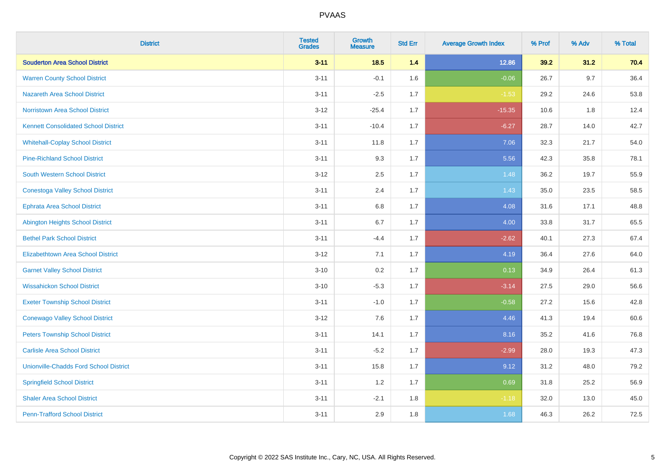| <b>District</b>                               | <b>Tested</b><br><b>Grades</b> | <b>Growth</b><br><b>Measure</b> | <b>Std Err</b> | <b>Average Growth Index</b> | % Prof | % Adv   | % Total |
|-----------------------------------------------|--------------------------------|---------------------------------|----------------|-----------------------------|--------|---------|---------|
| <b>Souderton Area School District</b>         | $3 - 11$                       | 18.5                            | 1.4            | 12.86                       | 39.2   | 31.2    | 70.4    |
| <b>Warren County School District</b>          | $3 - 11$                       | $-0.1$                          | 1.6            | $-0.06$                     | 26.7   | $9.7\,$ | 36.4    |
| <b>Nazareth Area School District</b>          | $3 - 11$                       | $-2.5$                          | 1.7            | $-1.53$                     | 29.2   | 24.6    | 53.8    |
| <b>Norristown Area School District</b>        | $3-12$                         | $-25.4$                         | 1.7            | $-15.35$                    | 10.6   | 1.8     | 12.4    |
| <b>Kennett Consolidated School District</b>   | $3 - 11$                       | $-10.4$                         | 1.7            | $-6.27$                     | 28.7   | 14.0    | 42.7    |
| <b>Whitehall-Coplay School District</b>       | $3 - 11$                       | 11.8                            | 1.7            | 7.06                        | 32.3   | 21.7    | 54.0    |
| <b>Pine-Richland School District</b>          | $3 - 11$                       | 9.3                             | 1.7            | 5.56                        | 42.3   | 35.8    | 78.1    |
| <b>South Western School District</b>          | $3 - 12$                       | 2.5                             | 1.7            | 1.48                        | 36.2   | 19.7    | 55.9    |
| <b>Conestoga Valley School District</b>       | $3 - 11$                       | 2.4                             | 1.7            | 1.43                        | 35.0   | 23.5    | 58.5    |
| <b>Ephrata Area School District</b>           | $3 - 11$                       | 6.8                             | 1.7            | 4.08                        | 31.6   | 17.1    | 48.8    |
| <b>Abington Heights School District</b>       | $3 - 11$                       | 6.7                             | 1.7            | 4.00                        | 33.8   | 31.7    | 65.5    |
| <b>Bethel Park School District</b>            | $3 - 11$                       | $-4.4$                          | 1.7            | $-2.62$                     | 40.1   | 27.3    | 67.4    |
| <b>Elizabethtown Area School District</b>     | $3 - 12$                       | 7.1                             | 1.7            | 4.19                        | 36.4   | 27.6    | 64.0    |
| <b>Garnet Valley School District</b>          | $3 - 10$                       | 0.2                             | 1.7            | 0.13                        | 34.9   | 26.4    | 61.3    |
| <b>Wissahickon School District</b>            | $3 - 10$                       | $-5.3$                          | 1.7            | $-3.14$                     | 27.5   | 29.0    | 56.6    |
| <b>Exeter Township School District</b>        | $3 - 11$                       | $-1.0$                          | 1.7            | $-0.58$                     | 27.2   | 15.6    | 42.8    |
| <b>Conewago Valley School District</b>        | $3 - 12$                       | 7.6                             | 1.7            | 4.46                        | 41.3   | 19.4    | 60.6    |
| <b>Peters Township School District</b>        | $3 - 11$                       | 14.1                            | 1.7            | 8.16                        | 35.2   | 41.6    | 76.8    |
| <b>Carlisle Area School District</b>          | $3 - 11$                       | $-5.2$                          | 1.7            | $-2.99$                     | 28.0   | 19.3    | 47.3    |
| <b>Unionville-Chadds Ford School District</b> | $3 - 11$                       | 15.8                            | 1.7            | 9.12                        | 31.2   | 48.0    | 79.2    |
| <b>Springfield School District</b>            | $3 - 11$                       | 1.2                             | 1.7            | 0.69                        | 31.8   | 25.2    | 56.9    |
| <b>Shaler Area School District</b>            | $3 - 11$                       | $-2.1$                          | 1.8            | $-1.18$                     | 32.0   | 13.0    | 45.0    |
| <b>Penn-Trafford School District</b>          | $3 - 11$                       | 2.9                             | 1.8            | 1.68                        | 46.3   | 26.2    | 72.5    |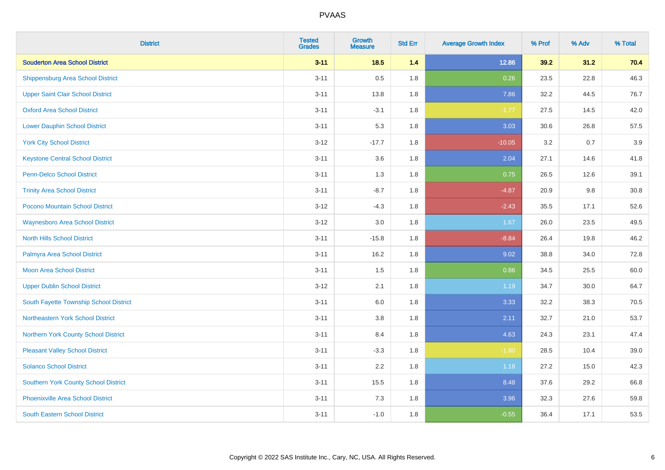| <b>District</b>                             | <b>Tested</b><br><b>Grades</b> | <b>Growth</b><br><b>Measure</b> | <b>Std Err</b> | <b>Average Growth Index</b> | % Prof | % Adv | % Total |
|---------------------------------------------|--------------------------------|---------------------------------|----------------|-----------------------------|--------|-------|---------|
| <b>Souderton Area School District</b>       | $3 - 11$                       | 18.5                            | 1.4            | 12.86                       | 39.2   | 31.2  | 70.4    |
| <b>Shippensburg Area School District</b>    | $3 - 11$                       | 0.5                             | 1.8            | 0.26                        | 23.5   | 22.8  | 46.3    |
| <b>Upper Saint Clair School District</b>    | $3 - 11$                       | 13.8                            | 1.8            | 7.86                        | 32.2   | 44.5  | 76.7    |
| <b>Oxford Area School District</b>          | $3 - 11$                       | $-3.1$                          | 1.8            | $-1.77$                     | 27.5   | 14.5  | 42.0    |
| <b>Lower Dauphin School District</b>        | $3 - 11$                       | 5.3                             | 1.8            | 3.03                        | 30.6   | 26.8  | 57.5    |
| <b>York City School District</b>            | $3 - 12$                       | $-17.7$                         | 1.8            | $-10.05$                    | 3.2    | 0.7   | 3.9     |
| <b>Keystone Central School District</b>     | $3 - 11$                       | 3.6                             | 1.8            | 2.04                        | 27.1   | 14.6  | 41.8    |
| <b>Penn-Delco School District</b>           | $3 - 11$                       | 1.3                             | 1.8            | 0.75                        | 26.5   | 12.6  | 39.1    |
| <b>Trinity Area School District</b>         | $3 - 11$                       | $-8.7$                          | 1.8            | $-4.87$                     | 20.9   | 9.8   | 30.8    |
| <b>Pocono Mountain School District</b>      | $3 - 12$                       | $-4.3$                          | 1.8            | $-2.43$                     | 35.5   | 17.1  | 52.6    |
| <b>Waynesboro Area School District</b>      | $3 - 12$                       | 3.0                             | 1.8            | 1.67                        | 26.0   | 23.5  | 49.5    |
| <b>North Hills School District</b>          | $3 - 11$                       | $-15.8$                         | 1.8            | $-8.84$                     | 26.4   | 19.8  | 46.2    |
| Palmyra Area School District                | $3 - 11$                       | 16.2                            | 1.8            | 9.02                        | 38.8   | 34.0  | 72.8    |
| <b>Moon Area School District</b>            | $3 - 11$                       | 1.5                             | 1.8            | 0.86                        | 34.5   | 25.5  | 60.0    |
| <b>Upper Dublin School District</b>         | $3 - 12$                       | 2.1                             | 1.8            | 1.19                        | 34.7   | 30.0  | 64.7    |
| South Fayette Township School District      | $3 - 11$                       | 6.0                             | 1.8            | 3.33                        | 32.2   | 38.3  | 70.5    |
| Northeastern York School District           | $3 - 11$                       | 3.8                             | 1.8            | 2.11                        | 32.7   | 21.0  | 53.7    |
| Northern York County School District        | $3 - 11$                       | 8.4                             | 1.8            | 4.63                        | 24.3   | 23.1  | 47.4    |
| <b>Pleasant Valley School District</b>      | $3 - 11$                       | $-3.3$                          | 1.8            | $-1.80$                     | 28.5   | 10.4  | 39.0    |
| <b>Solanco School District</b>              | $3 - 11$                       | 2.2                             | 1.8            | 1.18                        | 27.2   | 15.0  | 42.3    |
| <b>Southern York County School District</b> | $3 - 11$                       | 15.5                            | 1.8            | 8.48                        | 37.6   | 29.2  | 66.8    |
| <b>Phoenixville Area School District</b>    | $3 - 11$                       | 7.3                             | 1.8            | 3.96                        | 32.3   | 27.6  | 59.8    |
| <b>South Eastern School District</b>        | $3 - 11$                       | $-1.0$                          | 1.8            | $-0.55$                     | 36.4   | 17.1  | 53.5    |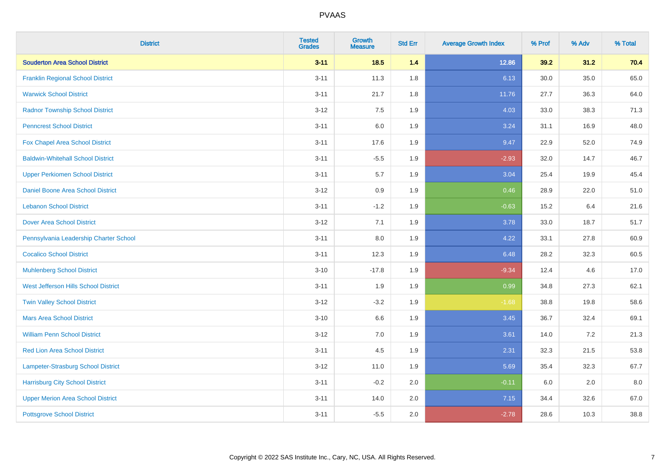| <b>District</b>                           | <b>Tested</b><br><b>Grades</b> | <b>Growth</b><br><b>Measure</b> | <b>Std Err</b> | <b>Average Growth Index</b> | % Prof | % Adv | % Total |
|-------------------------------------------|--------------------------------|---------------------------------|----------------|-----------------------------|--------|-------|---------|
| <b>Souderton Area School District</b>     | $3 - 11$                       | 18.5                            | 1.4            | 12.86                       | 39.2   | 31.2  | 70.4    |
| <b>Franklin Regional School District</b>  | $3 - 11$                       | 11.3                            | 1.8            | 6.13                        | 30.0   | 35.0  | 65.0    |
| <b>Warwick School District</b>            | $3 - 11$                       | 21.7                            | 1.8            | 11.76                       | 27.7   | 36.3  | 64.0    |
| <b>Radnor Township School District</b>    | $3 - 12$                       | 7.5                             | 1.9            | 4.03                        | 33.0   | 38.3  | 71.3    |
| <b>Penncrest School District</b>          | $3 - 11$                       | 6.0                             | 1.9            | 3.24                        | 31.1   | 16.9  | 48.0    |
| Fox Chapel Area School District           | $3 - 11$                       | 17.6                            | 1.9            | 9.47                        | 22.9   | 52.0  | 74.9    |
| <b>Baldwin-Whitehall School District</b>  | $3 - 11$                       | $-5.5$                          | 1.9            | $-2.93$                     | 32.0   | 14.7  | 46.7    |
| <b>Upper Perkiomen School District</b>    | $3 - 11$                       | 5.7                             | 1.9            | 3.04                        | 25.4   | 19.9  | 45.4    |
| <b>Daniel Boone Area School District</b>  | $3 - 12$                       | 0.9                             | 1.9            | 0.46                        | 28.9   | 22.0  | 51.0    |
| <b>Lebanon School District</b>            | $3 - 11$                       | $-1.2$                          | 1.9            | $-0.63$                     | 15.2   | 6.4   | 21.6    |
| <b>Dover Area School District</b>         | $3-12$                         | 7.1                             | 1.9            | 3.78                        | 33.0   | 18.7  | 51.7    |
| Pennsylvania Leadership Charter School    | $3 - 11$                       | 8.0                             | 1.9            | 4.22                        | 33.1   | 27.8  | 60.9    |
| <b>Cocalico School District</b>           | $3 - 11$                       | 12.3                            | 1.9            | 6.48                        | 28.2   | 32.3  | 60.5    |
| <b>Muhlenberg School District</b>         | $3 - 10$                       | $-17.8$                         | 1.9            | $-9.34$                     | 12.4   | 4.6   | 17.0    |
| West Jefferson Hills School District      | $3 - 11$                       | 1.9                             | 1.9            | 0.99                        | 34.8   | 27.3  | 62.1    |
| <b>Twin Valley School District</b>        | $3 - 12$                       | $-3.2$                          | 1.9            | $-1.68$                     | 38.8   | 19.8  | 58.6    |
| <b>Mars Area School District</b>          | $3 - 10$                       | 6.6                             | 1.9            | 3.45                        | 36.7   | 32.4  | 69.1    |
| <b>William Penn School District</b>       | $3 - 12$                       | 7.0                             | 1.9            | 3.61                        | 14.0   | 7.2   | 21.3    |
| Red Lion Area School District             | $3 - 11$                       | 4.5                             | 1.9            | 2.31                        | 32.3   | 21.5  | 53.8    |
| <b>Lampeter-Strasburg School District</b> | $3 - 12$                       | 11.0                            | 1.9            | 5.69                        | 35.4   | 32.3  | 67.7    |
| <b>Harrisburg City School District</b>    | $3 - 11$                       | $-0.2$                          | 2.0            | $-0.11$                     | 6.0    | 2.0   | 8.0     |
| <b>Upper Merion Area School District</b>  | $3 - 11$                       | 14.0                            | 2.0            | 7.15                        | 34.4   | 32.6  | 67.0    |
| <b>Pottsgrove School District</b>         | $3 - 11$                       | $-5.5$                          | 2.0            | $-2.78$                     | 28.6   | 10.3  | 38.8    |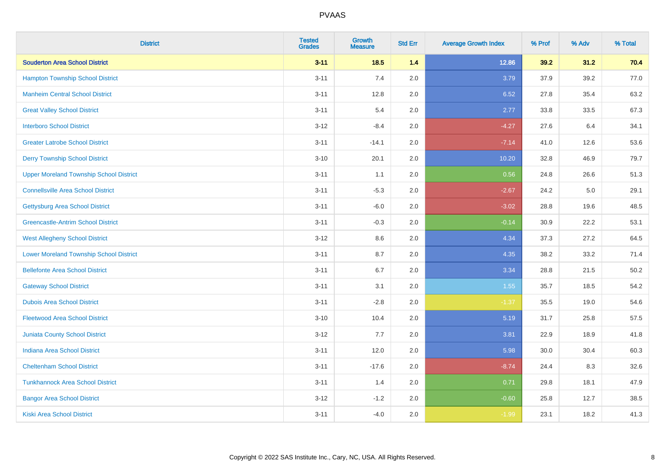| <b>District</b>                                | <b>Tested</b><br><b>Grades</b> | <b>Growth</b><br><b>Measure</b> | <b>Std Err</b> | <b>Average Growth Index</b> | % Prof | % Adv | % Total |
|------------------------------------------------|--------------------------------|---------------------------------|----------------|-----------------------------|--------|-------|---------|
| <b>Souderton Area School District</b>          | $3 - 11$                       | 18.5                            | 1.4            | 12.86                       | 39.2   | 31.2  | 70.4    |
| <b>Hampton Township School District</b>        | $3 - 11$                       | 7.4                             | 2.0            | 3.79                        | 37.9   | 39.2  | 77.0    |
| <b>Manheim Central School District</b>         | $3 - 11$                       | 12.8                            | 2.0            | 6.52                        | 27.8   | 35.4  | 63.2    |
| <b>Great Valley School District</b>            | $3 - 11$                       | 5.4                             | 2.0            | 2.77                        | 33.8   | 33.5  | 67.3    |
| <b>Interboro School District</b>               | $3 - 12$                       | $-8.4$                          | 2.0            | $-4.27$                     | 27.6   | 6.4   | 34.1    |
| <b>Greater Latrobe School District</b>         | $3 - 11$                       | $-14.1$                         | 2.0            | $-7.14$                     | 41.0   | 12.6  | 53.6    |
| <b>Derry Township School District</b>          | $3 - 10$                       | 20.1                            | 2.0            | 10.20                       | 32.8   | 46.9  | 79.7    |
| <b>Upper Moreland Township School District</b> | $3 - 11$                       | 1.1                             | 2.0            | 0.56                        | 24.8   | 26.6  | 51.3    |
| <b>Connellsville Area School District</b>      | $3 - 11$                       | $-5.3$                          | 2.0            | $-2.67$                     | 24.2   | 5.0   | 29.1    |
| <b>Gettysburg Area School District</b>         | $3 - 11$                       | $-6.0$                          | 2.0            | $-3.02$                     | 28.8   | 19.6  | 48.5    |
| <b>Greencastle-Antrim School District</b>      | $3 - 11$                       | $-0.3$                          | 2.0            | $-0.14$                     | 30.9   | 22.2  | 53.1    |
| <b>West Allegheny School District</b>          | $3 - 12$                       | 8.6                             | 2.0            | 4.34                        | 37.3   | 27.2  | 64.5    |
| <b>Lower Moreland Township School District</b> | $3 - 11$                       | 8.7                             | 2.0            | 4.35                        | 38.2   | 33.2  | 71.4    |
| <b>Bellefonte Area School District</b>         | $3 - 11$                       | $6.7\,$                         | 2.0            | 3.34                        | 28.8   | 21.5  | 50.2    |
| <b>Gateway School District</b>                 | $3 - 11$                       | 3.1                             | 2.0            | 1.55                        | 35.7   | 18.5  | 54.2    |
| <b>Dubois Area School District</b>             | $3 - 11$                       | $-2.8$                          | 2.0            | $-1.37$                     | 35.5   | 19.0  | 54.6    |
| <b>Fleetwood Area School District</b>          | $3 - 10$                       | 10.4                            | 2.0            | 5.19                        | 31.7   | 25.8  | 57.5    |
| <b>Juniata County School District</b>          | $3 - 12$                       | 7.7                             | 2.0            | 3.81                        | 22.9   | 18.9  | 41.8    |
| <b>Indiana Area School District</b>            | $3 - 11$                       | 12.0                            | 2.0            | 5.98                        | 30.0   | 30.4  | 60.3    |
| <b>Cheltenham School District</b>              | $3 - 11$                       | $-17.6$                         | 2.0            | $-8.74$                     | 24.4   | 8.3   | 32.6    |
| <b>Tunkhannock Area School District</b>        | $3 - 11$                       | 1.4                             | 2.0            | 0.71                        | 29.8   | 18.1  | 47.9    |
| <b>Bangor Area School District</b>             | $3 - 12$                       | $-1.2$                          | 2.0            | $-0.60$                     | 25.8   | 12.7  | 38.5    |
| Kiski Area School District                     | $3 - 11$                       | $-4.0$                          | 2.0            | $-1.99$                     | 23.1   | 18.2  | 41.3    |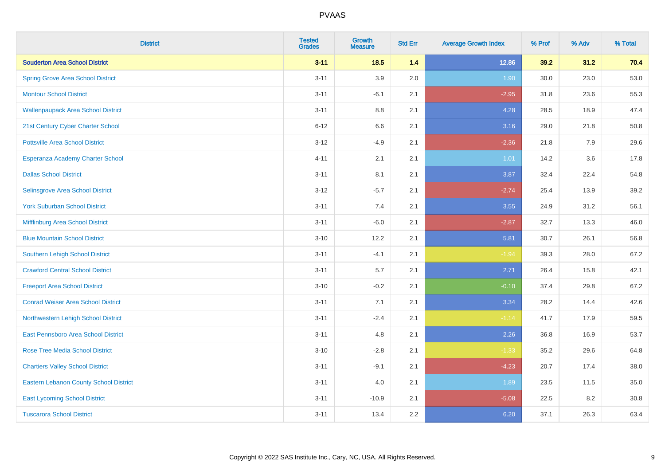| <b>District</b>                               | <b>Tested</b><br><b>Grades</b> | <b>Growth</b><br><b>Measure</b> | <b>Std Err</b> | <b>Average Growth Index</b> | % Prof | % Adv | % Total |
|-----------------------------------------------|--------------------------------|---------------------------------|----------------|-----------------------------|--------|-------|---------|
| <b>Souderton Area School District</b>         | $3 - 11$                       | 18.5                            | 1.4            | 12.86                       | 39.2   | 31.2  | 70.4    |
| <b>Spring Grove Area School District</b>      | $3 - 11$                       | 3.9                             | 2.0            | 1.90                        | 30.0   | 23.0  | 53.0    |
| <b>Montour School District</b>                | $3 - 11$                       | $-6.1$                          | 2.1            | $-2.95$                     | 31.8   | 23.6  | 55.3    |
| <b>Wallenpaupack Area School District</b>     | $3 - 11$                       | 8.8                             | 2.1            | 4.28                        | 28.5   | 18.9  | 47.4    |
| 21st Century Cyber Charter School             | $6 - 12$                       | 6.6                             | 2.1            | 3.16                        | 29.0   | 21.8  | 50.8    |
| <b>Pottsville Area School District</b>        | $3 - 12$                       | $-4.9$                          | 2.1            | $-2.36$                     | 21.8   | 7.9   | 29.6    |
| Esperanza Academy Charter School              | $4 - 11$                       | 2.1                             | 2.1            | 1.01                        | 14.2   | 3.6   | 17.8    |
| <b>Dallas School District</b>                 | $3 - 11$                       | 8.1                             | 2.1            | 3.87                        | 32.4   | 22.4  | 54.8    |
| Selinsgrove Area School District              | $3 - 12$                       | $-5.7$                          | 2.1            | $-2.74$                     | 25.4   | 13.9  | 39.2    |
| <b>York Suburban School District</b>          | $3 - 11$                       | 7.4                             | 2.1            | 3.55                        | 24.9   | 31.2  | 56.1    |
| Mifflinburg Area School District              | $3 - 11$                       | $-6.0$                          | 2.1            | $-2.87$                     | 32.7   | 13.3  | 46.0    |
| <b>Blue Mountain School District</b>          | $3 - 10$                       | 12.2                            | 2.1            | 5.81                        | 30.7   | 26.1  | 56.8    |
| <b>Southern Lehigh School District</b>        | $3 - 11$                       | $-4.1$                          | 2.1            | $-1.94$                     | 39.3   | 28.0  | 67.2    |
| <b>Crawford Central School District</b>       | $3 - 11$                       | 5.7                             | 2.1            | 2.71                        | 26.4   | 15.8  | 42.1    |
| <b>Freeport Area School District</b>          | $3 - 10$                       | $-0.2$                          | 2.1            | $-0.10$                     | 37.4   | 29.8  | 67.2    |
| <b>Conrad Weiser Area School District</b>     | $3 - 11$                       | 7.1                             | 2.1            | 3.34                        | 28.2   | 14.4  | 42.6    |
| Northwestern Lehigh School District           | $3 - 11$                       | $-2.4$                          | 2.1            | $-1.14$                     | 41.7   | 17.9  | 59.5    |
| East Pennsboro Area School District           | $3 - 11$                       | 4.8                             | 2.1            | 2.26                        | 36.8   | 16.9  | 53.7    |
| <b>Rose Tree Media School District</b>        | $3 - 10$                       | $-2.8$                          | 2.1            | $-1.33$                     | 35.2   | 29.6  | 64.8    |
| <b>Chartiers Valley School District</b>       | $3 - 11$                       | $-9.1$                          | 2.1            | $-4.23$                     | 20.7   | 17.4  | 38.0    |
| <b>Eastern Lebanon County School District</b> | $3 - 11$                       | 4.0                             | 2.1            | 1.89                        | 23.5   | 11.5  | 35.0    |
| <b>East Lycoming School District</b>          | $3 - 11$                       | $-10.9$                         | 2.1            | $-5.08$                     | 22.5   | 8.2   | 30.8    |
| <b>Tuscarora School District</b>              | $3 - 11$                       | 13.4                            | 2.2            | 6.20                        | 37.1   | 26.3  | 63.4    |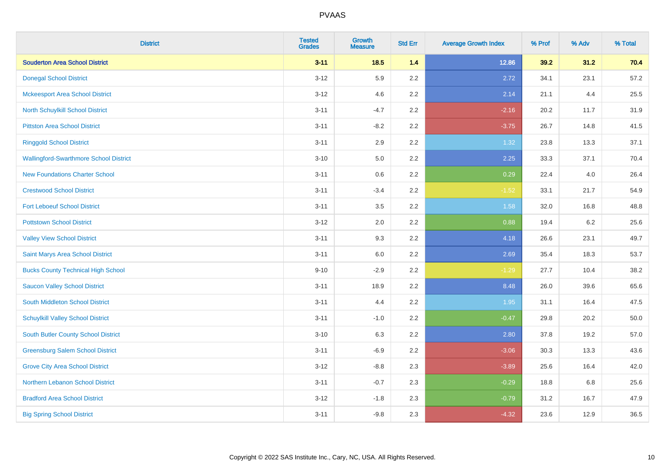| <b>District</b>                               | <b>Tested</b><br><b>Grades</b> | <b>Growth</b><br><b>Measure</b> | <b>Std Err</b> | <b>Average Growth Index</b> | % Prof | % Adv   | % Total |
|-----------------------------------------------|--------------------------------|---------------------------------|----------------|-----------------------------|--------|---------|---------|
| <b>Souderton Area School District</b>         | $3 - 11$                       | 18.5                            | 1.4            | 12.86                       | 39.2   | 31.2    | 70.4    |
| <b>Donegal School District</b>                | $3 - 12$                       | 5.9                             | 2.2            | 2.72                        | 34.1   | 23.1    | 57.2    |
| <b>Mckeesport Area School District</b>        | $3 - 12$                       | 4.6                             | 2.2            | 2.14                        | 21.1   | 4.4     | 25.5    |
| North Schuylkill School District              | $3 - 11$                       | $-4.7$                          | 2.2            | $-2.16$                     | 20.2   | 11.7    | 31.9    |
| <b>Pittston Area School District</b>          | $3 - 11$                       | $-8.2$                          | 2.2            | $-3.75$                     | 26.7   | 14.8    | 41.5    |
| <b>Ringgold School District</b>               | $3 - 11$                       | 2.9                             | 2.2            | 1.32                        | 23.8   | 13.3    | 37.1    |
| <b>Wallingford-Swarthmore School District</b> | $3 - 10$                       | 5.0                             | 2.2            | 2.25                        | 33.3   | 37.1    | 70.4    |
| <b>New Foundations Charter School</b>         | $3 - 11$                       | 0.6                             | 2.2            | 0.29                        | 22.4   | 4.0     | 26.4    |
| <b>Crestwood School District</b>              | $3 - 11$                       | $-3.4$                          | 2.2            | $-1.52$                     | 33.1   | 21.7    | 54.9    |
| <b>Fort Leboeuf School District</b>           | $3 - 11$                       | 3.5                             | 2.2            | 1.58                        | 32.0   | 16.8    | 48.8    |
| <b>Pottstown School District</b>              | $3 - 12$                       | 2.0                             | 2.2            | 0.88                        | 19.4   | $6.2\,$ | 25.6    |
| <b>Valley View School District</b>            | $3 - 11$                       | 9.3                             | 2.2            | 4.18                        | 26.6   | 23.1    | 49.7    |
| Saint Marys Area School District              | $3 - 11$                       | 6.0                             | 2.2            | 2.69                        | 35.4   | 18.3    | 53.7    |
| <b>Bucks County Technical High School</b>     | $9 - 10$                       | $-2.9$                          | 2.2            | $-1.29$                     | 27.7   | 10.4    | 38.2    |
| <b>Saucon Valley School District</b>          | $3 - 11$                       | 18.9                            | 2.2            | 8.48                        | 26.0   | 39.6    | 65.6    |
| South Middleton School District               | $3 - 11$                       | 4.4                             | 2.2            | 1.95                        | 31.1   | 16.4    | 47.5    |
| <b>Schuylkill Valley School District</b>      | $3 - 11$                       | $-1.0$                          | 2.2            | $-0.47$                     | 29.8   | 20.2    | 50.0    |
| South Butler County School District           | $3 - 10$                       | 6.3                             | 2.2            | 2.80                        | 37.8   | 19.2    | 57.0    |
| <b>Greensburg Salem School District</b>       | $3 - 11$                       | $-6.9$                          | 2.2            | $-3.06$                     | 30.3   | 13.3    | 43.6    |
| <b>Grove City Area School District</b>        | $3-12$                         | $-8.8$                          | 2.3            | $-3.89$                     | 25.6   | 16.4    | 42.0    |
| Northern Lebanon School District              | $3 - 11$                       | $-0.7$                          | 2.3            | $-0.29$                     | 18.8   | 6.8     | 25.6    |
| <b>Bradford Area School District</b>          | $3 - 12$                       | $-1.8$                          | 2.3            | $-0.79$                     | 31.2   | 16.7    | 47.9    |
| <b>Big Spring School District</b>             | $3 - 11$                       | $-9.8$                          | 2.3            | $-4.32$                     | 23.6   | 12.9    | 36.5    |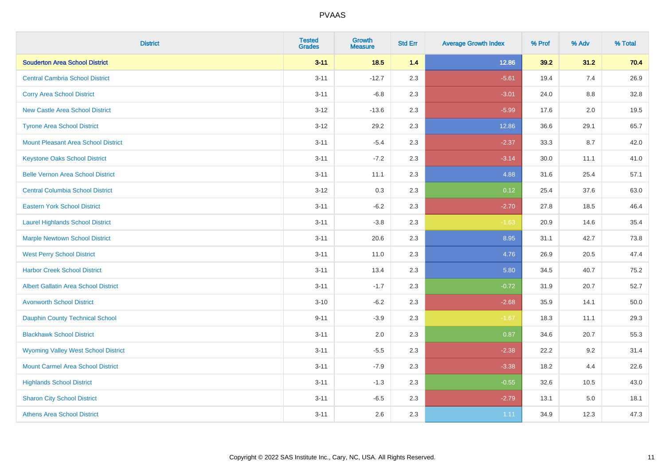| <b>District</b>                             | <b>Tested</b><br><b>Grades</b> | <b>Growth</b><br><b>Measure</b> | <b>Std Err</b> | <b>Average Growth Index</b> | % Prof | % Adv   | % Total |
|---------------------------------------------|--------------------------------|---------------------------------|----------------|-----------------------------|--------|---------|---------|
| <b>Souderton Area School District</b>       | $3 - 11$                       | 18.5                            | 1.4            | 12.86                       | 39.2   | 31.2    | 70.4    |
| <b>Central Cambria School District</b>      | $3 - 11$                       | $-12.7$                         | 2.3            | $-5.61$                     | 19.4   | 7.4     | 26.9    |
| <b>Corry Area School District</b>           | $3 - 11$                       | $-6.8$                          | 2.3            | $-3.01$                     | 24.0   | 8.8     | 32.8    |
| <b>New Castle Area School District</b>      | $3 - 12$                       | $-13.6$                         | 2.3            | $-5.99$                     | 17.6   | 2.0     | 19.5    |
| <b>Tyrone Area School District</b>          | $3 - 12$                       | 29.2                            | 2.3            | 12.86                       | 36.6   | 29.1    | 65.7    |
| <b>Mount Pleasant Area School District</b>  | $3 - 11$                       | $-5.4$                          | 2.3            | $-2.37$                     | 33.3   | 8.7     | 42.0    |
| <b>Keystone Oaks School District</b>        | $3 - 11$                       | $-7.2$                          | 2.3            | $-3.14$                     | 30.0   | 11.1    | 41.0    |
| <b>Belle Vernon Area School District</b>    | $3 - 11$                       | 11.1                            | 2.3            | 4.88                        | 31.6   | 25.4    | 57.1    |
| <b>Central Columbia School District</b>     | $3 - 12$                       | 0.3                             | 2.3            | 0.12                        | 25.4   | 37.6    | 63.0    |
| <b>Eastern York School District</b>         | $3 - 11$                       | $-6.2$                          | 2.3            | $-2.70$                     | 27.8   | 18.5    | 46.4    |
| <b>Laurel Highlands School District</b>     | $3 - 11$                       | $-3.8$                          | 2.3            | $-1.63$                     | 20.9   | 14.6    | 35.4    |
| <b>Marple Newtown School District</b>       | $3 - 11$                       | 20.6                            | 2.3            | 8.95                        | 31.1   | 42.7    | 73.8    |
| <b>West Perry School District</b>           | $3 - 11$                       | 11.0                            | 2.3            | 4.76                        | 26.9   | 20.5    | 47.4    |
| <b>Harbor Creek School District</b>         | $3 - 11$                       | 13.4                            | 2.3            | 5.80                        | 34.5   | 40.7    | 75.2    |
| <b>Albert Gallatin Area School District</b> | $3 - 11$                       | $-1.7$                          | 2.3            | $-0.72$                     | 31.9   | 20.7    | 52.7    |
| <b>Avonworth School District</b>            | $3 - 10$                       | $-6.2$                          | 2.3            | $-2.68$                     | 35.9   | 14.1    | 50.0    |
| Dauphin County Technical School             | $9 - 11$                       | $-3.9$                          | 2.3            | $-1.67$                     | 18.3   | 11.1    | 29.3    |
| <b>Blackhawk School District</b>            | $3 - 11$                       | 2.0                             | 2.3            | 0.87                        | 34.6   | 20.7    | 55.3    |
| <b>Wyoming Valley West School District</b>  | $3 - 11$                       | $-5.5$                          | 2.3            | $-2.38$                     | 22.2   | 9.2     | 31.4    |
| <b>Mount Carmel Area School District</b>    | $3 - 11$                       | $-7.9$                          | 2.3            | $-3.38$                     | 18.2   | 4.4     | 22.6    |
| <b>Highlands School District</b>            | $3 - 11$                       | $-1.3$                          | 2.3            | $-0.55$                     | 32.6   | 10.5    | 43.0    |
| <b>Sharon City School District</b>          | $3 - 11$                       | $-6.5$                          | 2.3            | $-2.79$                     | 13.1   | $5.0\,$ | 18.1    |
| <b>Athens Area School District</b>          | $3 - 11$                       | 2.6                             | 2.3            | 1.11                        | 34.9   | 12.3    | 47.3    |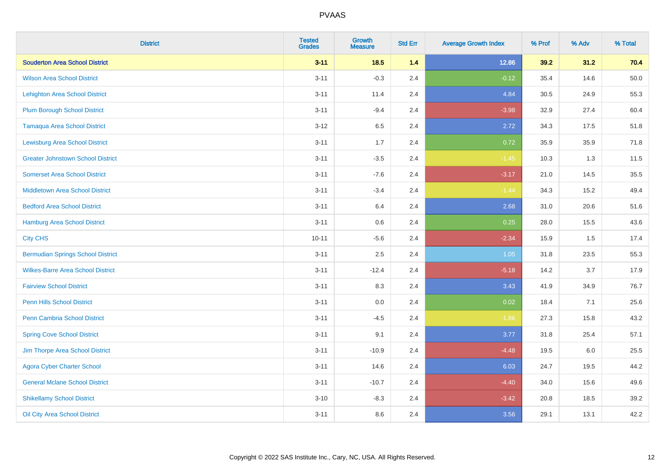| <b>District</b>                          | <b>Tested</b><br><b>Grades</b> | <b>Growth</b><br><b>Measure</b> | <b>Std Err</b> | <b>Average Growth Index</b> | % Prof | % Adv | % Total |
|------------------------------------------|--------------------------------|---------------------------------|----------------|-----------------------------|--------|-------|---------|
| <b>Souderton Area School District</b>    | $3 - 11$                       | 18.5                            | 1.4            | 12.86                       | 39.2   | 31.2  | 70.4    |
| <b>Wilson Area School District</b>       | $3 - 11$                       | $-0.3$                          | 2.4            | $-0.12$                     | 35.4   | 14.6  | 50.0    |
| <b>Lehighton Area School District</b>    | $3 - 11$                       | 11.4                            | 2.4            | 4.84                        | 30.5   | 24.9  | 55.3    |
| <b>Plum Borough School District</b>      | $3 - 11$                       | $-9.4$                          | 2.4            | $-3.98$                     | 32.9   | 27.4  | 60.4    |
| <b>Tamaqua Area School District</b>      | $3 - 12$                       | 6.5                             | 2.4            | 2.72                        | 34.3   | 17.5  | 51.8    |
| <b>Lewisburg Area School District</b>    | $3 - 11$                       | 1.7                             | 2.4            | 0.72                        | 35.9   | 35.9  | 71.8    |
| <b>Greater Johnstown School District</b> | $3 - 11$                       | $-3.5$                          | 2.4            | $-1.45$                     | 10.3   | 1.3   | 11.5    |
| <b>Somerset Area School District</b>     | $3 - 11$                       | $-7.6$                          | 2.4            | $-3.17$                     | 21.0   | 14.5  | 35.5    |
| <b>Middletown Area School District</b>   | $3 - 11$                       | $-3.4$                          | 2.4            | $-1.44$                     | 34.3   | 15.2  | 49.4    |
| <b>Bedford Area School District</b>      | $3 - 11$                       | 6.4                             | 2.4            | 2.68                        | 31.0   | 20.6  | 51.6    |
| <b>Hamburg Area School District</b>      | $3 - 11$                       | 0.6                             | 2.4            | 0.25                        | 28.0   | 15.5  | 43.6    |
| <b>City CHS</b>                          | $10 - 11$                      | $-5.6$                          | 2.4            | $-2.34$                     | 15.9   | 1.5   | 17.4    |
| <b>Bermudian Springs School District</b> | $3 - 11$                       | 2.5                             | 2.4            | 1.05                        | 31.8   | 23.5  | 55.3    |
| <b>Wilkes-Barre Area School District</b> | $3 - 11$                       | $-12.4$                         | 2.4            | $-5.18$                     | 14.2   | 3.7   | 17.9    |
| <b>Fairview School District</b>          | $3 - 11$                       | 8.3                             | 2.4            | 3.43                        | 41.9   | 34.9  | 76.7    |
| <b>Penn Hills School District</b>        | $3 - 11$                       | 0.0                             | 2.4            | 0.02                        | 18.4   | 7.1   | 25.6    |
| <b>Penn Cambria School District</b>      | $3 - 11$                       | $-4.5$                          | 2.4            | $-1.86$                     | 27.3   | 15.8  | 43.2    |
| <b>Spring Cove School District</b>       | $3 - 11$                       | 9.1                             | 2.4            | 3.77                        | 31.8   | 25.4  | 57.1    |
| Jim Thorpe Area School District          | $3 - 11$                       | $-10.9$                         | 2.4            | $-4.48$                     | 19.5   | 6.0   | 25.5    |
| <b>Agora Cyber Charter School</b>        | $3 - 11$                       | 14.6                            | 2.4            | 6.03                        | 24.7   | 19.5  | 44.2    |
| <b>General Mclane School District</b>    | $3 - 11$                       | $-10.7$                         | 2.4            | $-4.40$                     | 34.0   | 15.6  | 49.6    |
| <b>Shikellamy School District</b>        | $3 - 10$                       | $-8.3$                          | 2.4            | $-3.42$                     | 20.8   | 18.5  | 39.2    |
| Oil City Area School District            | $3 - 11$                       | 8.6                             | 2.4            | 3.56                        | 29.1   | 13.1  | 42.2    |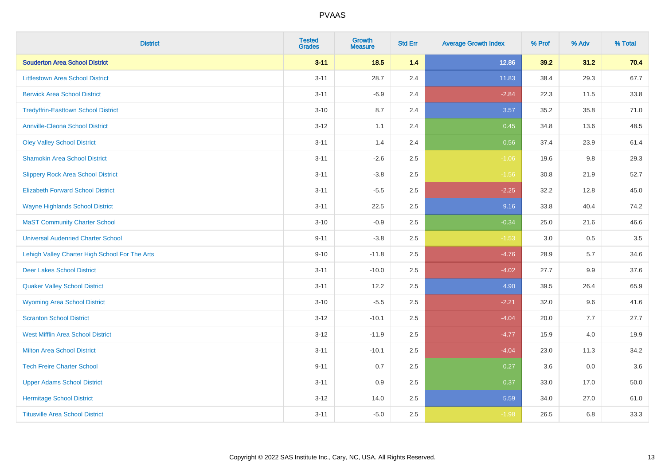| <b>District</b>                                | <b>Tested</b><br><b>Grades</b> | <b>Growth</b><br><b>Measure</b> | <b>Std Err</b> | <b>Average Growth Index</b> | % Prof | % Adv | % Total |
|------------------------------------------------|--------------------------------|---------------------------------|----------------|-----------------------------|--------|-------|---------|
| <b>Souderton Area School District</b>          | $3 - 11$                       | 18.5                            | 1.4            | 12.86                       | 39.2   | 31.2  | 70.4    |
| <b>Littlestown Area School District</b>        | $3 - 11$                       | 28.7                            | 2.4            | 11.83                       | 38.4   | 29.3  | 67.7    |
| <b>Berwick Area School District</b>            | $3 - 11$                       | $-6.9$                          | 2.4            | $-2.84$                     | 22.3   | 11.5  | 33.8    |
| <b>Tredyffrin-Easttown School District</b>     | $3 - 10$                       | 8.7                             | 2.4            | 3.57                        | 35.2   | 35.8  | 71.0    |
| <b>Annville-Cleona School District</b>         | $3 - 12$                       | 1.1                             | 2.4            | 0.45                        | 34.8   | 13.6  | 48.5    |
| <b>Oley Valley School District</b>             | $3 - 11$                       | 1.4                             | 2.4            | 0.56                        | 37.4   | 23.9  | 61.4    |
| <b>Shamokin Area School District</b>           | $3 - 11$                       | $-2.6$                          | 2.5            | $-1.06$                     | 19.6   | 9.8   | 29.3    |
| <b>Slippery Rock Area School District</b>      | $3 - 11$                       | $-3.8$                          | 2.5            | $-1.56$                     | 30.8   | 21.9  | 52.7    |
| <b>Elizabeth Forward School District</b>       | $3 - 11$                       | $-5.5$                          | 2.5            | $-2.25$                     | 32.2   | 12.8  | 45.0    |
| <b>Wayne Highlands School District</b>         | $3 - 11$                       | 22.5                            | 2.5            | 9.16                        | 33.8   | 40.4  | 74.2    |
| <b>MaST Community Charter School</b>           | $3 - 10$                       | $-0.9$                          | 2.5            | $-0.34$                     | 25.0   | 21.6  | 46.6    |
| <b>Universal Audenried Charter School</b>      | $9 - 11$                       | $-3.8$                          | 2.5            | $-1.53$                     | 3.0    | 0.5   | 3.5     |
| Lehigh Valley Charter High School For The Arts | $9 - 10$                       | $-11.8$                         | 2.5            | $-4.76$                     | 28.9   | 5.7   | 34.6    |
| <b>Deer Lakes School District</b>              | $3 - 11$                       | $-10.0$                         | 2.5            | $-4.02$                     | 27.7   | 9.9   | 37.6    |
| <b>Quaker Valley School District</b>           | $3 - 11$                       | 12.2                            | 2.5            | 4.90                        | 39.5   | 26.4  | 65.9    |
| <b>Wyoming Area School District</b>            | $3 - 10$                       | $-5.5$                          | 2.5            | $-2.21$                     | 32.0   | 9.6   | 41.6    |
| <b>Scranton School District</b>                | $3 - 12$                       | $-10.1$                         | 2.5            | $-4.04$                     | 20.0   | 7.7   | 27.7    |
| <b>West Mifflin Area School District</b>       | $3 - 12$                       | $-11.9$                         | 2.5            | $-4.77$                     | 15.9   | 4.0   | 19.9    |
| <b>Milton Area School District</b>             | $3 - 11$                       | $-10.1$                         | 2.5            | $-4.04$                     | 23.0   | 11.3  | 34.2    |
| <b>Tech Freire Charter School</b>              | $9 - 11$                       | 0.7                             | 2.5            | 0.27                        | 3.6    | 0.0   | 3.6     |
| <b>Upper Adams School District</b>             | $3 - 11$                       | 0.9                             | 2.5            | 0.37                        | 33.0   | 17.0  | 50.0    |
| <b>Hermitage School District</b>               | $3 - 12$                       | 14.0                            | 2.5            | 5.59                        | 34.0   | 27.0  | 61.0    |
| <b>Titusville Area School District</b>         | $3 - 11$                       | $-5.0$                          | 2.5            | $-1.98$                     | 26.5   | 6.8   | 33.3    |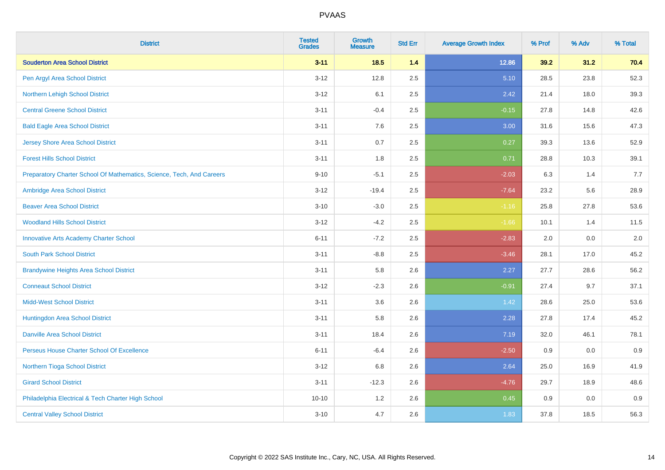| <b>District</b>                                                       | <b>Tested</b><br><b>Grades</b> | <b>Growth</b><br><b>Measure</b> | <b>Std Err</b> | <b>Average Growth Index</b> | % Prof | % Adv | % Total |
|-----------------------------------------------------------------------|--------------------------------|---------------------------------|----------------|-----------------------------|--------|-------|---------|
| <b>Souderton Area School District</b>                                 | $3 - 11$                       | 18.5                            | 1.4            | 12.86                       | 39.2   | 31.2  | 70.4    |
| Pen Argyl Area School District                                        | $3 - 12$                       | 12.8                            | 2.5            | 5.10                        | 28.5   | 23.8  | 52.3    |
| Northern Lehigh School District                                       | $3 - 12$                       | 6.1                             | 2.5            | 2.42                        | 21.4   | 18.0  | 39.3    |
| <b>Central Greene School District</b>                                 | $3 - 11$                       | $-0.4$                          | 2.5            | $-0.15$                     | 27.8   | 14.8  | 42.6    |
| <b>Bald Eagle Area School District</b>                                | $3 - 11$                       | 7.6                             | 2.5            | 3.00                        | 31.6   | 15.6  | 47.3    |
| <b>Jersey Shore Area School District</b>                              | $3 - 11$                       | 0.7                             | 2.5            | 0.27                        | 39.3   | 13.6  | 52.9    |
| <b>Forest Hills School District</b>                                   | $3 - 11$                       | 1.8                             | 2.5            | 0.71                        | 28.8   | 10.3  | 39.1    |
| Preparatory Charter School Of Mathematics, Science, Tech, And Careers | $9 - 10$                       | $-5.1$                          | 2.5            | $-2.03$                     | 6.3    | 1.4   | 7.7     |
| Ambridge Area School District                                         | $3 - 12$                       | $-19.4$                         | 2.5            | $-7.64$                     | 23.2   | 5.6   | 28.9    |
| <b>Beaver Area School District</b>                                    | $3 - 10$                       | $-3.0$                          | 2.5            | $-1.16$                     | 25.8   | 27.8  | 53.6    |
| <b>Woodland Hills School District</b>                                 | $3 - 12$                       | $-4.2$                          | 2.5            | $-1.66$                     | 10.1   | 1.4   | 11.5    |
| <b>Innovative Arts Academy Charter School</b>                         | $6 - 11$                       | $-7.2$                          | 2.5            | $-2.83$                     | 2.0    | 0.0   | 2.0     |
| <b>South Park School District</b>                                     | $3 - 11$                       | $-8.8$                          | 2.5            | $-3.46$                     | 28.1   | 17.0  | 45.2    |
| <b>Brandywine Heights Area School District</b>                        | $3 - 11$                       | 5.8                             | 2.6            | 2.27                        | 27.7   | 28.6  | 56.2    |
| <b>Conneaut School District</b>                                       | $3 - 12$                       | $-2.3$                          | 2.6            | $-0.91$                     | 27.4   | 9.7   | 37.1    |
| <b>Midd-West School District</b>                                      | $3 - 11$                       | 3.6                             | 2.6            | 1.42                        | 28.6   | 25.0  | 53.6    |
| Huntingdon Area School District                                       | $3 - 11$                       | 5.8                             | 2.6            | 2.28                        | 27.8   | 17.4  | 45.2    |
| <b>Danville Area School District</b>                                  | $3 - 11$                       | 18.4                            | 2.6            | 7.19                        | 32.0   | 46.1  | 78.1    |
| Perseus House Charter School Of Excellence                            | $6 - 11$                       | $-6.4$                          | 2.6            | $-2.50$                     | 0.9    | 0.0   | 0.9     |
| Northern Tioga School District                                        | $3 - 12$                       | 6.8                             | 2.6            | 2.64                        | 25.0   | 16.9  | 41.9    |
| <b>Girard School District</b>                                         | $3 - 11$                       | $-12.3$                         | 2.6            | $-4.76$                     | 29.7   | 18.9  | 48.6    |
| Philadelphia Electrical & Tech Charter High School                    | $10 - 10$                      | 1.2                             | 2.6            | 0.45                        | 0.9    | 0.0   | 0.9     |
| <b>Central Valley School District</b>                                 | $3 - 10$                       | 4.7                             | 2.6            | 1.83                        | 37.8   | 18.5  | 56.3    |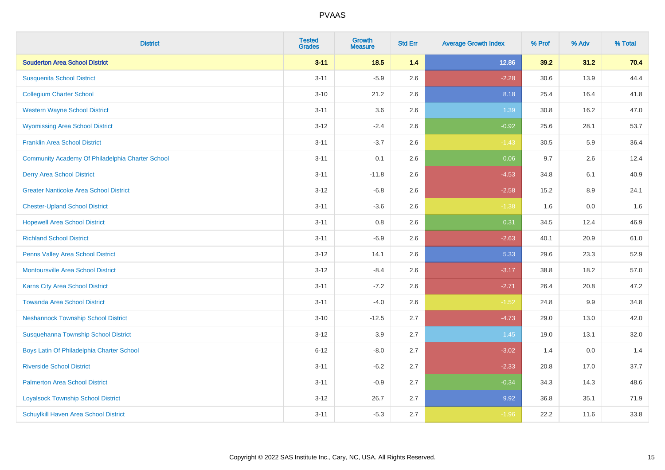| <b>District</b>                                  | <b>Tested</b><br><b>Grades</b> | <b>Growth</b><br><b>Measure</b> | <b>Std Err</b> | <b>Average Growth Index</b> | % Prof | % Adv | % Total |
|--------------------------------------------------|--------------------------------|---------------------------------|----------------|-----------------------------|--------|-------|---------|
| <b>Souderton Area School District</b>            | $3 - 11$                       | 18.5                            | 1.4            | 12.86                       | 39.2   | 31.2  | 70.4    |
| <b>Susquenita School District</b>                | $3 - 11$                       | $-5.9$                          | 2.6            | $-2.28$                     | 30.6   | 13.9  | 44.4    |
| <b>Collegium Charter School</b>                  | $3 - 10$                       | 21.2                            | 2.6            | 8.18                        | 25.4   | 16.4  | 41.8    |
| <b>Western Wayne School District</b>             | $3 - 11$                       | 3.6                             | 2.6            | 1.39                        | 30.8   | 16.2  | 47.0    |
| <b>Wyomissing Area School District</b>           | $3-12$                         | $-2.4$                          | 2.6            | $-0.92$                     | 25.6   | 28.1  | 53.7    |
| <b>Franklin Area School District</b>             | $3 - 11$                       | $-3.7$                          | 2.6            | $-1.43$                     | 30.5   | 5.9   | 36.4    |
| Community Academy Of Philadelphia Charter School | $3 - 11$                       | 0.1                             | 2.6            | 0.06                        | 9.7    | 2.6   | 12.4    |
| <b>Derry Area School District</b>                | $3 - 11$                       | $-11.8$                         | 2.6            | $-4.53$                     | 34.8   | 6.1   | 40.9    |
| <b>Greater Nanticoke Area School District</b>    | $3-12$                         | $-6.8$                          | 2.6            | $-2.58$                     | 15.2   | 8.9   | 24.1    |
| <b>Chester-Upland School District</b>            | $3 - 11$                       | $-3.6$                          | 2.6            | $-1.38$                     | 1.6    | 0.0   | 1.6     |
| <b>Hopewell Area School District</b>             | $3 - 11$                       | 0.8                             | 2.6            | 0.31                        | 34.5   | 12.4  | 46.9    |
| <b>Richland School District</b>                  | $3 - 11$                       | $-6.9$                          | 2.6            | $-2.63$                     | 40.1   | 20.9  | 61.0    |
| Penns Valley Area School District                | $3 - 12$                       | 14.1                            | 2.6            | 5.33                        | 29.6   | 23.3  | 52.9    |
| <b>Montoursville Area School District</b>        | $3 - 12$                       | $-8.4$                          | 2.6            | $-3.17$                     | 38.8   | 18.2  | 57.0    |
| Karns City Area School District                  | $3 - 11$                       | $-7.2$                          | 2.6            | $-2.71$                     | 26.4   | 20.8  | 47.2    |
| <b>Towanda Area School District</b>              | $3 - 11$                       | $-4.0$                          | 2.6            | $-1.52$                     | 24.8   | 9.9   | 34.8    |
| <b>Neshannock Township School District</b>       | $3 - 10$                       | $-12.5$                         | 2.7            | $-4.73$                     | 29.0   | 13.0  | 42.0    |
| Susquehanna Township School District             | $3-12$                         | 3.9                             | 2.7            | 1.45                        | 19.0   | 13.1  | 32.0    |
| Boys Latin Of Philadelphia Charter School        | $6 - 12$                       | $-8.0$                          | 2.7            | $-3.02$                     | 1.4    | 0.0   | 1.4     |
| <b>Riverside School District</b>                 | $3 - 11$                       | $-6.2$                          | 2.7            | $-2.33$                     | 20.8   | 17.0  | 37.7    |
| <b>Palmerton Area School District</b>            | $3 - 11$                       | $-0.9$                          | 2.7            | $-0.34$                     | 34.3   | 14.3  | 48.6    |
| <b>Loyalsock Township School District</b>        | $3-12$                         | 26.7                            | 2.7            | 9.92                        | 36.8   | 35.1  | 71.9    |
| <b>Schuylkill Haven Area School District</b>     | $3 - 11$                       | $-5.3$                          | 2.7            | $-1.96$                     | 22.2   | 11.6  | 33.8    |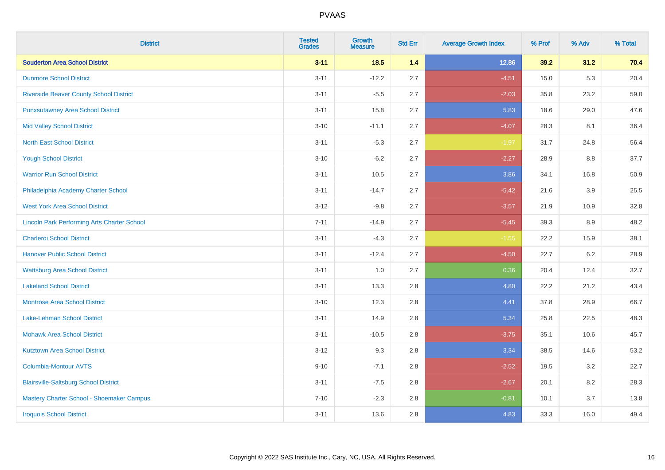| <b>District</b>                                    | <b>Tested</b><br><b>Grades</b> | <b>Growth</b><br><b>Measure</b> | <b>Std Err</b> | <b>Average Growth Index</b> | % Prof | % Adv   | % Total |
|----------------------------------------------------|--------------------------------|---------------------------------|----------------|-----------------------------|--------|---------|---------|
| <b>Souderton Area School District</b>              | $3 - 11$                       | 18.5                            | 1.4            | 12.86                       | 39.2   | 31.2    | 70.4    |
| <b>Dunmore School District</b>                     | $3 - 11$                       | $-12.2$                         | 2.7            | $-4.51$                     | 15.0   | 5.3     | 20.4    |
| <b>Riverside Beaver County School District</b>     | $3 - 11$                       | $-5.5$                          | 2.7            | $-2.03$                     | 35.8   | 23.2    | 59.0    |
| <b>Punxsutawney Area School District</b>           | $3 - 11$                       | 15.8                            | 2.7            | 5.83                        | 18.6   | 29.0    | 47.6    |
| <b>Mid Valley School District</b>                  | $3 - 10$                       | $-11.1$                         | 2.7            | $-4.07$                     | 28.3   | 8.1     | 36.4    |
| <b>North East School District</b>                  | $3 - 11$                       | $-5.3$                          | 2.7            | $-1.97$                     | 31.7   | 24.8    | 56.4    |
| <b>Yough School District</b>                       | $3 - 10$                       | $-6.2$                          | 2.7            | $-2.27$                     | 28.9   | 8.8     | 37.7    |
| <b>Warrior Run School District</b>                 | $3 - 11$                       | 10.5                            | 2.7            | 3.86                        | 34.1   | 16.8    | 50.9    |
| Philadelphia Academy Charter School                | $3 - 11$                       | $-14.7$                         | 2.7            | $-5.42$                     | 21.6   | 3.9     | 25.5    |
| <b>West York Area School District</b>              | $3-12$                         | $-9.8$                          | 2.7            | $-3.57$                     | 21.9   | 10.9    | 32.8    |
| <b>Lincoln Park Performing Arts Charter School</b> | $7 - 11$                       | $-14.9$                         | 2.7            | $-5.45$                     | 39.3   | 8.9     | 48.2    |
| <b>Charleroi School District</b>                   | $3 - 11$                       | $-4.3$                          | 2.7            | $-1.55$                     | 22.2   | 15.9    | 38.1    |
| <b>Hanover Public School District</b>              | $3 - 11$                       | $-12.4$                         | 2.7            | $-4.50$                     | 22.7   | $6.2\,$ | 28.9    |
| <b>Wattsburg Area School District</b>              | $3 - 11$                       | 1.0                             | 2.7            | 0.36                        | 20.4   | 12.4    | 32.7    |
| <b>Lakeland School District</b>                    | $3 - 11$                       | 13.3                            | 2.8            | 4.80                        | 22.2   | 21.2    | 43.4    |
| <b>Montrose Area School District</b>               | $3 - 10$                       | 12.3                            | 2.8            | 4.41                        | 37.8   | 28.9    | 66.7    |
| Lake-Lehman School District                        | $3 - 11$                       | 14.9                            | 2.8            | 5.34                        | 25.8   | 22.5    | 48.3    |
| <b>Mohawk Area School District</b>                 | $3 - 11$                       | $-10.5$                         | 2.8            | $-3.75$                     | 35.1   | 10.6    | 45.7    |
| <b>Kutztown Area School District</b>               | $3-12$                         | 9.3                             | 2.8            | 3.34                        | 38.5   | 14.6    | 53.2    |
| Columbia-Montour AVTS                              | $9 - 10$                       | $-7.1$                          | 2.8            | $-2.52$                     | 19.5   | 3.2     | 22.7    |
| <b>Blairsville-Saltsburg School District</b>       | $3 - 11$                       | $-7.5$                          | 2.8            | $-2.67$                     | 20.1   | 8.2     | 28.3    |
| Mastery Charter School - Shoemaker Campus          | $7 - 10$                       | $-2.3$                          | 2.8            | $-0.81$                     | 10.1   | 3.7     | 13.8    |
| <b>Iroquois School District</b>                    | $3 - 11$                       | 13.6                            | 2.8            | 4.83                        | 33.3   | 16.0    | 49.4    |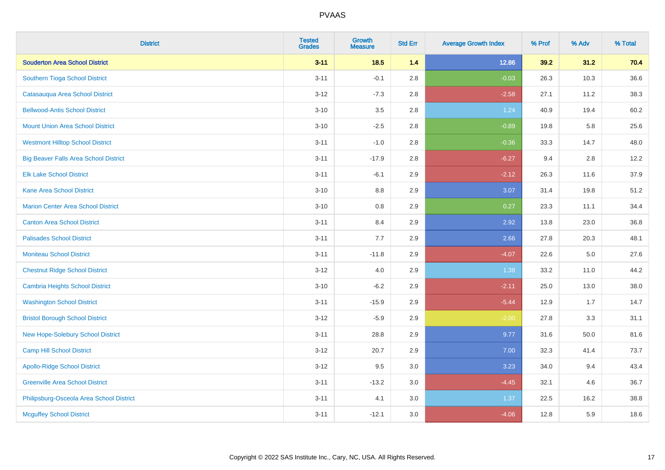| <b>District</b>                              | <b>Tested</b><br><b>Grades</b> | <b>Growth</b><br><b>Measure</b> | <b>Std Err</b> | <b>Average Growth Index</b> | % Prof | % Adv   | % Total |
|----------------------------------------------|--------------------------------|---------------------------------|----------------|-----------------------------|--------|---------|---------|
| <b>Souderton Area School District</b>        | $3 - 11$                       | 18.5                            | 1.4            | 12.86                       | 39.2   | 31.2    | 70.4    |
| Southern Tioga School District               | $3 - 11$                       | $-0.1$                          | 2.8            | $-0.03$                     | 26.3   | 10.3    | 36.6    |
| Catasauqua Area School District              | $3 - 12$                       | $-7.3$                          | 2.8            | $-2.58$                     | 27.1   | 11.2    | 38.3    |
| <b>Bellwood-Antis School District</b>        | $3 - 10$                       | 3.5                             | 2.8            | 1.24                        | 40.9   | 19.4    | 60.2    |
| <b>Mount Union Area School District</b>      | $3 - 10$                       | $-2.5$                          | 2.8            | $-0.89$                     | 19.8   | 5.8     | 25.6    |
| <b>Westmont Hilltop School District</b>      | $3 - 11$                       | $-1.0$                          | 2.8            | $-0.36$                     | 33.3   | 14.7    | 48.0    |
| <b>Big Beaver Falls Area School District</b> | $3 - 11$                       | $-17.9$                         | 2.8            | $-6.27$                     | 9.4    | 2.8     | 12.2    |
| <b>Elk Lake School District</b>              | $3 - 11$                       | $-6.1$                          | 2.9            | $-2.12$                     | 26.3   | 11.6    | 37.9    |
| <b>Kane Area School District</b>             | $3 - 10$                       | 8.8                             | 2.9            | 3.07                        | 31.4   | 19.8    | 51.2    |
| <b>Marion Center Area School District</b>    | $3 - 10$                       | 0.8                             | 2.9            | 0.27                        | 23.3   | 11.1    | 34.4    |
| <b>Canton Area School District</b>           | $3 - 11$                       | 8.4                             | 2.9            | 2.92                        | 13.8   | 23.0    | 36.8    |
| <b>Palisades School District</b>             | $3 - 11$                       | 7.7                             | 2.9            | 2.66                        | 27.8   | 20.3    | 48.1    |
| <b>Moniteau School District</b>              | $3 - 11$                       | $-11.8$                         | 2.9            | $-4.07$                     | 22.6   | $5.0\,$ | 27.6    |
| <b>Chestnut Ridge School District</b>        | $3 - 12$                       | $4.0\,$                         | 2.9            | 1.38                        | 33.2   | 11.0    | 44.2    |
| <b>Cambria Heights School District</b>       | $3 - 10$                       | $-6.2$                          | 2.9            | $-2.11$                     | 25.0   | 13.0    | 38.0    |
| <b>Washington School District</b>            | $3 - 11$                       | $-15.9$                         | 2.9            | $-5.44$                     | 12.9   | 1.7     | 14.7    |
| <b>Bristol Borough School District</b>       | $3 - 12$                       | $-5.9$                          | 2.9            | $-2.00$                     | 27.8   | 3.3     | 31.1    |
| New Hope-Solebury School District            | $3 - 11$                       | 28.8                            | 2.9            | 9.77                        | 31.6   | 50.0    | 81.6    |
| Camp Hill School District                    | $3 - 12$                       | 20.7                            | 2.9            | 7.00                        | 32.3   | 41.4    | 73.7    |
| <b>Apollo-Ridge School District</b>          | $3 - 12$                       | 9.5                             | 3.0            | 3.23                        | 34.0   | 9.4     | 43.4    |
| <b>Greenville Area School District</b>       | $3 - 11$                       | $-13.2$                         | 3.0            | $-4.45$                     | 32.1   | 4.6     | 36.7    |
| Philipsburg-Osceola Area School District     | $3 - 11$                       | 4.1                             | 3.0            | 1.37                        | 22.5   | 16.2    | 38.8    |
| <b>Mcguffey School District</b>              | $3 - 11$                       | $-12.1$                         | 3.0            | $-4.06$                     | 12.8   | 5.9     | 18.6    |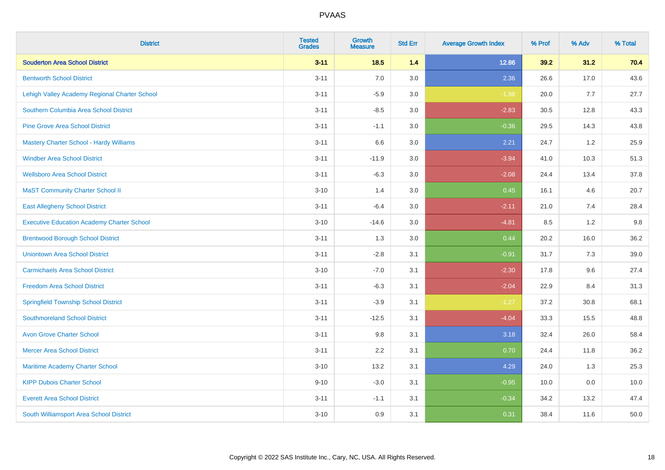| <b>District</b>                                   | <b>Tested</b><br><b>Grades</b> | <b>Growth</b><br><b>Measure</b> | <b>Std Err</b> | <b>Average Growth Index</b> | % Prof | % Adv | % Total |
|---------------------------------------------------|--------------------------------|---------------------------------|----------------|-----------------------------|--------|-------|---------|
| <b>Souderton Area School District</b>             | $3 - 11$                       | $18.5$                          | 1.4            | 12.86                       | 39.2   | 31.2  | 70.4    |
| <b>Bentworth School District</b>                  | $3 - 11$                       | 7.0                             | 3.0            | 2.36                        | 26.6   | 17.0  | 43.6    |
| Lehigh Valley Academy Regional Charter School     | $3 - 11$                       | $-5.9$                          | 3.0            | $-1.98$                     | 20.0   | 7.7   | 27.7    |
| Southern Columbia Area School District            | $3 - 11$                       | $-8.5$                          | 3.0            | $-2.83$                     | 30.5   | 12.8  | 43.3    |
| <b>Pine Grove Area School District</b>            | $3 - 11$                       | $-1.1$                          | 3.0            | $-0.36$                     | 29.5   | 14.3  | 43.8    |
| <b>Mastery Charter School - Hardy Williams</b>    | $3 - 11$                       | 6.6                             | 3.0            | 2.21                        | 24.7   | 1.2   | 25.9    |
| <b>Windber Area School District</b>               | $3 - 11$                       | $-11.9$                         | 3.0            | $-3.94$                     | 41.0   | 10.3  | 51.3    |
| <b>Wellsboro Area School District</b>             | $3 - 11$                       | $-6.3$                          | 3.0            | $-2.08$                     | 24.4   | 13.4  | 37.8    |
| <b>MaST Community Charter School II</b>           | $3 - 10$                       | 1.4                             | 3.0            | 0.45                        | 16.1   | 4.6   | 20.7    |
| <b>East Allegheny School District</b>             | $3 - 11$                       | $-6.4$                          | 3.0            | $-2.11$                     | 21.0   | 7.4   | 28.4    |
| <b>Executive Education Academy Charter School</b> | $3 - 10$                       | $-14.6$                         | 3.0            | $-4.81$                     | 8.5    | 1.2   | 9.8     |
| <b>Brentwood Borough School District</b>          | $3 - 11$                       | 1.3                             | 3.0            | 0.44                        | 20.2   | 16.0  | 36.2    |
| <b>Uniontown Area School District</b>             | $3 - 11$                       | $-2.8$                          | 3.1            | $-0.91$                     | 31.7   | 7.3   | 39.0    |
| <b>Carmichaels Area School District</b>           | $3 - 10$                       | $-7.0$                          | 3.1            | $-2.30$                     | 17.8   | 9.6   | 27.4    |
| <b>Freedom Area School District</b>               | $3 - 11$                       | $-6.3$                          | 3.1            | $-2.04$                     | 22.9   | 8.4   | 31.3    |
| <b>Springfield Township School District</b>       | $3 - 11$                       | $-3.9$                          | 3.1            | $-1.27$                     | 37.2   | 30.8  | 68.1    |
| <b>Southmoreland School District</b>              | $3 - 11$                       | $-12.5$                         | 3.1            | $-4.04$                     | 33.3   | 15.5  | 48.8    |
| <b>Avon Grove Charter School</b>                  | $3 - 11$                       | 9.8                             | 3.1            | 3.18                        | 32.4   | 26.0  | 58.4    |
| <b>Mercer Area School District</b>                | $3 - 11$                       | 2.2                             | 3.1            | 0.70                        | 24.4   | 11.8  | 36.2    |
| Maritime Academy Charter School                   | $3 - 10$                       | 13.2                            | 3.1            | 4.29                        | 24.0   | 1.3   | 25.3    |
| <b>KIPP Dubois Charter School</b>                 | $9 - 10$                       | $-3.0$                          | 3.1            | $-0.95$                     | 10.0   | 0.0   | 10.0    |
| <b>Everett Area School District</b>               | $3 - 11$                       | $-1.1$                          | 3.1            | $-0.34$                     | 34.2   | 13.2  | 47.4    |
| South Williamsport Area School District           | $3 - 10$                       | 0.9                             | 3.1            | 0.31                        | 38.4   | 11.6  | 50.0    |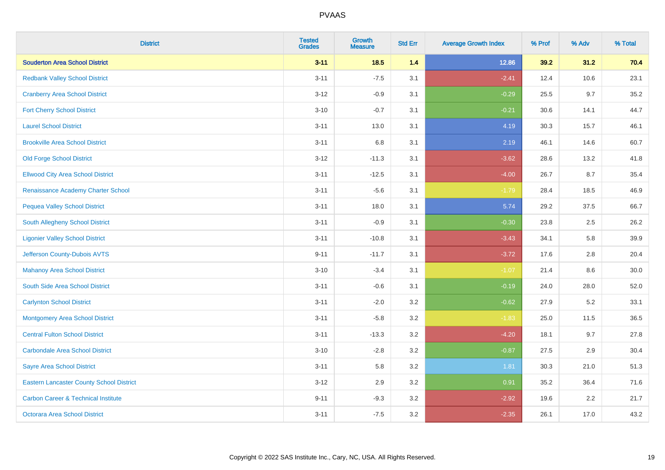| <b>District</b>                                 | <b>Tested</b><br><b>Grades</b> | <b>Growth</b><br><b>Measure</b> | <b>Std Err</b> | <b>Average Growth Index</b> | % Prof | % Adv | % Total |
|-------------------------------------------------|--------------------------------|---------------------------------|----------------|-----------------------------|--------|-------|---------|
| <b>Souderton Area School District</b>           | $3 - 11$                       | 18.5                            | 1.4            | 12.86                       | 39.2   | 31.2  | 70.4    |
| <b>Redbank Valley School District</b>           | $3 - 11$                       | $-7.5$                          | 3.1            | $-2.41$                     | 12.4   | 10.6  | 23.1    |
| <b>Cranberry Area School District</b>           | $3 - 12$                       | $-0.9$                          | 3.1            | $-0.29$                     | 25.5   | 9.7   | 35.2    |
| <b>Fort Cherry School District</b>              | $3 - 10$                       | $-0.7$                          | 3.1            | $-0.21$                     | 30.6   | 14.1  | 44.7    |
| <b>Laurel School District</b>                   | $3 - 11$                       | 13.0                            | 3.1            | 4.19                        | 30.3   | 15.7  | 46.1    |
| <b>Brookville Area School District</b>          | $3 - 11$                       | 6.8                             | 3.1            | 2.19                        | 46.1   | 14.6  | 60.7    |
| <b>Old Forge School District</b>                | $3 - 12$                       | $-11.3$                         | 3.1            | $-3.62$                     | 28.6   | 13.2  | 41.8    |
| <b>Ellwood City Area School District</b>        | $3 - 11$                       | $-12.5$                         | 3.1            | $-4.00$                     | 26.7   | 8.7   | 35.4    |
| Renaissance Academy Charter School              | $3 - 11$                       | $-5.6$                          | 3.1            | $-1.79$                     | 28.4   | 18.5  | 46.9    |
| <b>Pequea Valley School District</b>            | $3 - 11$                       | 18.0                            | 3.1            | 5.74                        | 29.2   | 37.5  | 66.7    |
| South Allegheny School District                 | $3 - 11$                       | $-0.9$                          | 3.1            | $-0.30$                     | 23.8   | 2.5   | 26.2    |
| <b>Ligonier Valley School District</b>          | $3 - 11$                       | $-10.8$                         | 3.1            | $-3.43$                     | 34.1   | 5.8   | 39.9    |
| Jefferson County-Dubois AVTS                    | $9 - 11$                       | $-11.7$                         | 3.1            | $-3.72$                     | 17.6   | 2.8   | 20.4    |
| <b>Mahanoy Area School District</b>             | $3 - 10$                       | $-3.4$                          | 3.1            | $-1.07$                     | 21.4   | 8.6   | 30.0    |
| South Side Area School District                 | $3 - 11$                       | $-0.6$                          | 3.1            | $-0.19$                     | 24.0   | 28.0  | 52.0    |
| <b>Carlynton School District</b>                | $3 - 11$                       | $-2.0$                          | 3.2            | $-0.62$                     | 27.9   | 5.2   | 33.1    |
| <b>Montgomery Area School District</b>          | $3 - 11$                       | $-5.8$                          | 3.2            | $-1.83$                     | 25.0   | 11.5  | 36.5    |
| <b>Central Fulton School District</b>           | $3 - 11$                       | $-13.3$                         | 3.2            | $-4.20$                     | 18.1   | 9.7   | 27.8    |
| <b>Carbondale Area School District</b>          | $3 - 10$                       | $-2.8$                          | 3.2            | $-0.87$                     | 27.5   | 2.9   | 30.4    |
| <b>Sayre Area School District</b>               | $3 - 11$                       | 5.8                             | 3.2            | 1.81                        | 30.3   | 21.0  | 51.3    |
| <b>Eastern Lancaster County School District</b> | $3 - 12$                       | 2.9                             | 3.2            | 0.91                        | 35.2   | 36.4  | 71.6    |
| <b>Carbon Career &amp; Technical Institute</b>  | $9 - 11$                       | $-9.3$                          | 3.2            | $-2.92$                     | 19.6   | 2.2   | 21.7    |
| <b>Octorara Area School District</b>            | $3 - 11$                       | $-7.5$                          | 3.2            | $-2.35$                     | 26.1   | 17.0  | 43.2    |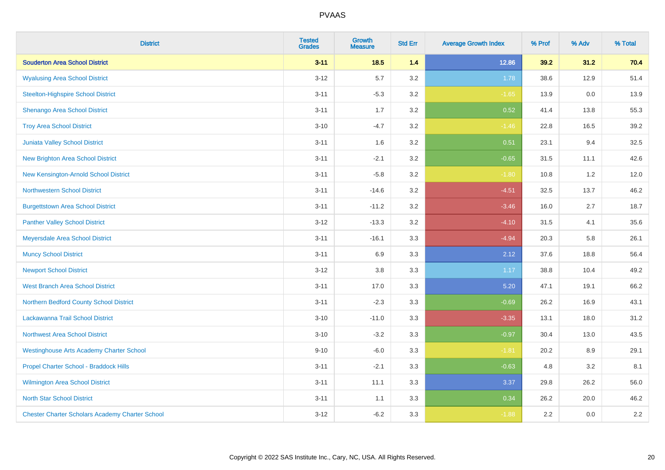| <b>District</b>                                        | <b>Tested</b><br><b>Grades</b> | <b>Growth</b><br><b>Measure</b> | <b>Std Err</b> | <b>Average Growth Index</b> | % Prof | % Adv | % Total |
|--------------------------------------------------------|--------------------------------|---------------------------------|----------------|-----------------------------|--------|-------|---------|
| <b>Souderton Area School District</b>                  | $3 - 11$                       | $18.5$                          | 1.4            | 12.86                       | 39.2   | 31.2  | 70.4    |
| <b>Wyalusing Area School District</b>                  | $3 - 12$                       | 5.7                             | 3.2            | 1.78                        | 38.6   | 12.9  | 51.4    |
| <b>Steelton-Highspire School District</b>              | $3 - 11$                       | $-5.3$                          | 3.2            | $-1.65$                     | 13.9   | 0.0   | 13.9    |
| Shenango Area School District                          | $3 - 11$                       | 1.7                             | 3.2            | 0.52                        | 41.4   | 13.8  | 55.3    |
| <b>Troy Area School District</b>                       | $3 - 10$                       | $-4.7$                          | 3.2            | $-1.46$                     | 22.8   | 16.5  | 39.2    |
| <b>Juniata Valley School District</b>                  | $3 - 11$                       | 1.6                             | 3.2            | 0.51                        | 23.1   | 9.4   | 32.5    |
| <b>New Brighton Area School District</b>               | $3 - 11$                       | $-2.1$                          | 3.2            | $-0.65$                     | 31.5   | 11.1  | 42.6    |
| <b>New Kensington-Arnold School District</b>           | $3 - 11$                       | $-5.8$                          | 3.2            | $-1.80$                     | 10.8   | 1.2   | 12.0    |
| <b>Northwestern School District</b>                    | $3 - 11$                       | $-14.6$                         | 3.2            | $-4.51$                     | 32.5   | 13.7  | 46.2    |
| <b>Burgettstown Area School District</b>               | $3 - 11$                       | $-11.2$                         | 3.2            | $-3.46$                     | 16.0   | 2.7   | 18.7    |
| <b>Panther Valley School District</b>                  | $3 - 12$                       | $-13.3$                         | 3.2            | $-4.10$                     | 31.5   | 4.1   | 35.6    |
| Meyersdale Area School District                        | $3 - 11$                       | $-16.1$                         | 3.3            | $-4.94$                     | 20.3   | 5.8   | 26.1    |
| <b>Muncy School District</b>                           | $3 - 11$                       | 6.9                             | 3.3            | 2.12                        | 37.6   | 18.8  | 56.4    |
| <b>Newport School District</b>                         | $3 - 12$                       | 3.8                             | 3.3            | 1.17                        | 38.8   | 10.4  | 49.2    |
| <b>West Branch Area School District</b>                | $3 - 11$                       | 17.0                            | 3.3            | 5.20                        | 47.1   | 19.1  | 66.2    |
| Northern Bedford County School District                | $3 - 11$                       | $-2.3$                          | 3.3            | $-0.69$                     | 26.2   | 16.9  | 43.1    |
| Lackawanna Trail School District                       | $3 - 10$                       | $-11.0$                         | 3.3            | $-3.35$                     | 13.1   | 18.0  | 31.2    |
| <b>Northwest Area School District</b>                  | $3 - 10$                       | $-3.2$                          | 3.3            | $-0.97$                     | 30.4   | 13.0  | 43.5    |
| <b>Westinghouse Arts Academy Charter School</b>        | $9 - 10$                       | $-6.0$                          | 3.3            | $-1.81$                     | 20.2   | 8.9   | 29.1    |
| Propel Charter School - Braddock Hills                 | $3 - 11$                       | $-2.1$                          | 3.3            | $-0.63$                     | 4.8    | 3.2   | 8.1     |
| <b>Wilmington Area School District</b>                 | $3 - 11$                       | 11.1                            | 3.3            | 3.37                        | 29.8   | 26.2  | 56.0    |
| <b>North Star School District</b>                      | $3 - 11$                       | 1.1                             | 3.3            | 0.34                        | 26.2   | 20.0  | 46.2    |
| <b>Chester Charter Scholars Academy Charter School</b> | $3 - 12$                       | $-6.2$                          | 3.3            | $-1.88$                     | 2.2    | 0.0   | $2.2\,$ |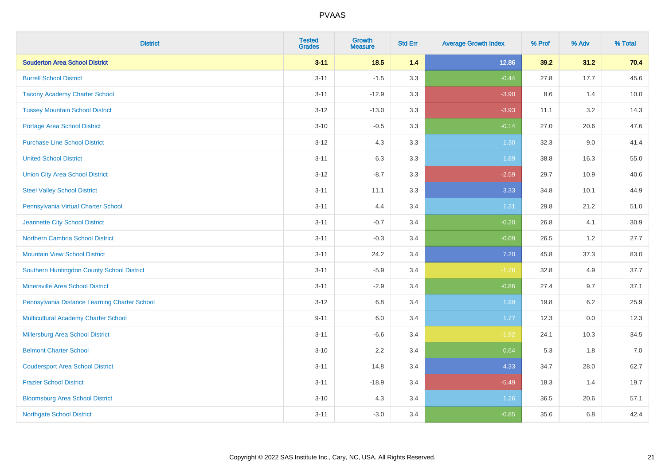| <b>District</b>                               | <b>Tested</b><br><b>Grades</b> | <b>Growth</b><br><b>Measure</b> | <b>Std Err</b> | <b>Average Growth Index</b> | % Prof | % Adv   | % Total |
|-----------------------------------------------|--------------------------------|---------------------------------|----------------|-----------------------------|--------|---------|---------|
| <b>Souderton Area School District</b>         | $3 - 11$                       | 18.5                            | 1.4            | 12.86                       | 39.2   | 31.2    | 70.4    |
| <b>Burrell School District</b>                | $3 - 11$                       | $-1.5$                          | 3.3            | $-0.44$                     | 27.8   | 17.7    | 45.6    |
| <b>Tacony Academy Charter School</b>          | $3 - 11$                       | $-12.9$                         | 3.3            | $-3.90$                     | 8.6    | 1.4     | 10.0    |
| <b>Tussey Mountain School District</b>        | $3 - 12$                       | $-13.0$                         | 3.3            | $-3.93$                     | 11.1   | 3.2     | 14.3    |
| <b>Portage Area School District</b>           | $3 - 10$                       | $-0.5$                          | 3.3            | $-0.14$                     | 27.0   | 20.6    | 47.6    |
| <b>Purchase Line School District</b>          | $3 - 12$                       | 4.3                             | 3.3            | 1.30                        | 32.3   | 9.0     | 41.4    |
| <b>United School District</b>                 | $3 - 11$                       | 6.3                             | 3.3            | 1.89                        | 38.8   | 16.3    | 55.0    |
| <b>Union City Area School District</b>        | $3 - 12$                       | $-8.7$                          | 3.3            | $-2.59$                     | 29.7   | 10.9    | 40.6    |
| <b>Steel Valley School District</b>           | $3 - 11$                       | 11.1                            | 3.3            | 3.33                        | 34.8   | 10.1    | 44.9    |
| Pennsylvania Virtual Charter School           | $3 - 11$                       | 4.4                             | 3.4            | 1.31                        | 29.8   | 21.2    | 51.0    |
| Jeannette City School District                | $3 - 11$                       | $-0.7$                          | 3.4            | $-0.20$                     | 26.8   | 4.1     | 30.9    |
| Northern Cambria School District              | $3 - 11$                       | $-0.3$                          | 3.4            | $-0.09$                     | 26.5   | 1.2     | 27.7    |
| <b>Mountain View School District</b>          | $3 - 11$                       | 24.2                            | 3.4            | 7.20                        | 45.8   | 37.3    | 83.0    |
| Southern Huntingdon County School District    | $3 - 11$                       | $-5.9$                          | 3.4            | $-1.76$                     | 32.8   | 4.9     | 37.7    |
| <b>Minersville Area School District</b>       | $3 - 11$                       | $-2.9$                          | 3.4            | $-0.86$                     | 27.4   | 9.7     | 37.1    |
| Pennsylvania Distance Learning Charter School | $3 - 12$                       | 6.8                             | 3.4            | 1.99                        | 19.8   | 6.2     | 25.9    |
| <b>Multicultural Academy Charter School</b>   | $9 - 11$                       | 6.0                             | 3.4            | 1.77                        | 12.3   | $0.0\,$ | 12.3    |
| Millersburg Area School District              | $3 - 11$                       | $-6.6$                          | 3.4            | $-1.92$                     | 24.1   | 10.3    | 34.5    |
| <b>Belmont Charter School</b>                 | $3 - 10$                       | 2.2                             | 3.4            | 0.64                        | 5.3    | 1.8     | 7.0     |
| <b>Coudersport Area School District</b>       | $3 - 11$                       | 14.8                            | 3.4            | 4.33                        | 34.7   | 28.0    | 62.7    |
| <b>Frazier School District</b>                | $3 - 11$                       | $-18.9$                         | 3.4            | $-5.49$                     | 18.3   | 1.4     | 19.7    |
| <b>Bloomsburg Area School District</b>        | $3 - 10$                       | 4.3                             | 3.4            | 1.26                        | 36.5   | 20.6    | 57.1    |
| <b>Northgate School District</b>              | $3 - 11$                       | $-3.0$                          | 3.4            | $-0.85$                     | 35.6   | 6.8     | 42.4    |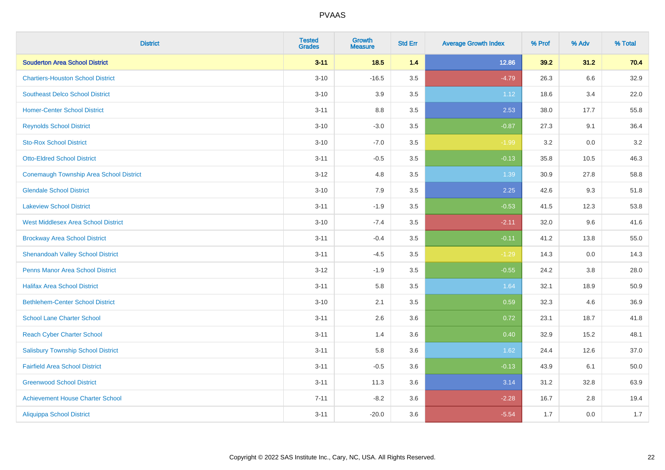| <b>District</b>                                | <b>Tested</b><br><b>Grades</b> | <b>Growth</b><br><b>Measure</b> | <b>Std Err</b> | <b>Average Growth Index</b> | % Prof | % Adv | % Total |
|------------------------------------------------|--------------------------------|---------------------------------|----------------|-----------------------------|--------|-------|---------|
| <b>Souderton Area School District</b>          | $3 - 11$                       | 18.5                            | 1.4            | 12.86                       | 39.2   | 31.2  | 70.4    |
| <b>Chartiers-Houston School District</b>       | $3 - 10$                       | $-16.5$                         | 3.5            | $-4.79$                     | 26.3   | 6.6   | 32.9    |
| <b>Southeast Delco School District</b>         | $3 - 10$                       | 3.9                             | 3.5            | 1.12                        | 18.6   | 3.4   | 22.0    |
| <b>Homer-Center School District</b>            | $3 - 11$                       | 8.8                             | 3.5            | 2.53                        | 38.0   | 17.7  | 55.8    |
| <b>Reynolds School District</b>                | $3 - 10$                       | $-3.0$                          | 3.5            | $-0.87$                     | 27.3   | 9.1   | 36.4    |
| <b>Sto-Rox School District</b>                 | $3 - 10$                       | $-7.0$                          | 3.5            | $-1.99$                     | 3.2    | 0.0   | $3.2\,$ |
| <b>Otto-Eldred School District</b>             | $3 - 11$                       | $-0.5$                          | 3.5            | $-0.13$                     | 35.8   | 10.5  | 46.3    |
| <b>Conemaugh Township Area School District</b> | $3 - 12$                       | 4.8                             | 3.5            | 1.39                        | 30.9   | 27.8  | 58.8    |
| <b>Glendale School District</b>                | $3 - 10$                       | 7.9                             | 3.5            | 2.25                        | 42.6   | 9.3   | 51.8    |
| <b>Lakeview School District</b>                | $3 - 11$                       | $-1.9$                          | 3.5            | $-0.53$                     | 41.5   | 12.3  | 53.8    |
| <b>West Middlesex Area School District</b>     | $3 - 10$                       | $-7.4$                          | 3.5            | $-2.11$                     | 32.0   | 9.6   | 41.6    |
| <b>Brockway Area School District</b>           | $3 - 11$                       | $-0.4$                          | 3.5            | $-0.11$                     | 41.2   | 13.8  | 55.0    |
| <b>Shenandoah Valley School District</b>       | $3 - 11$                       | $-4.5$                          | 3.5            | $-1.29$                     | 14.3   | 0.0   | 14.3    |
| <b>Penns Manor Area School District</b>        | $3 - 12$                       | $-1.9$                          | 3.5            | $-0.55$                     | 24.2   | 3.8   | 28.0    |
| <b>Halifax Area School District</b>            | $3 - 11$                       | 5.8                             | 3.5            | 1.64                        | 32.1   | 18.9  | 50.9    |
| <b>Bethlehem-Center School District</b>        | $3 - 10$                       | 2.1                             | 3.5            | 0.59                        | 32.3   | 4.6   | 36.9    |
| <b>School Lane Charter School</b>              | $3 - 11$                       | 2.6                             | 3.6            | 0.72                        | 23.1   | 18.7  | 41.8    |
| <b>Reach Cyber Charter School</b>              | $3 - 11$                       | 1.4                             | 3.6            | 0.40                        | 32.9   | 15.2  | 48.1    |
| <b>Salisbury Township School District</b>      | $3 - 11$                       | 5.8                             | 3.6            | 1.62                        | 24.4   | 12.6  | 37.0    |
| <b>Fairfield Area School District</b>          | $3 - 11$                       | $-0.5$                          | 3.6            | $-0.13$                     | 43.9   | 6.1   | 50.0    |
| <b>Greenwood School District</b>               | $3 - 11$                       | 11.3                            | 3.6            | 3.14                        | 31.2   | 32.8  | 63.9    |
| <b>Achievement House Charter School</b>        | $7 - 11$                       | $-8.2$                          | 3.6            | $-2.28$                     | 16.7   | 2.8   | 19.4    |
| <b>Aliquippa School District</b>               | $3 - 11$                       | $-20.0$                         | 3.6            | $-5.54$                     | 1.7    | 0.0   | 1.7     |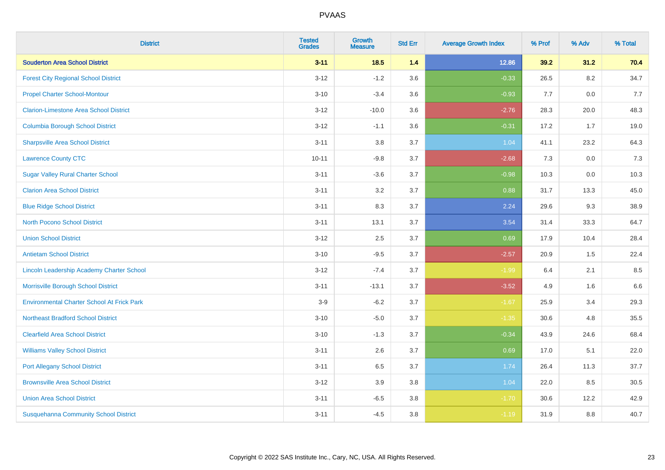| <b>District</b>                                   | <b>Tested</b><br><b>Grades</b> | <b>Growth</b><br><b>Measure</b> | <b>Std Err</b> | <b>Average Growth Index</b> | % Prof | % Adv   | % Total |
|---------------------------------------------------|--------------------------------|---------------------------------|----------------|-----------------------------|--------|---------|---------|
| <b>Souderton Area School District</b>             | $3 - 11$                       | 18.5                            | 1.4            | 12.86                       | 39.2   | 31.2    | 70.4    |
| <b>Forest City Regional School District</b>       | $3 - 12$                       | $-1.2$                          | 3.6            | $-0.33$                     | 26.5   | $8.2\,$ | 34.7    |
| <b>Propel Charter School-Montour</b>              | $3 - 10$                       | $-3.4$                          | 3.6            | $-0.93$                     | 7.7    | 0.0     | 7.7     |
| <b>Clarion-Limestone Area School District</b>     | $3 - 12$                       | $-10.0$                         | 3.6            | $-2.76$                     | 28.3   | 20.0    | 48.3    |
| <b>Columbia Borough School District</b>           | $3 - 12$                       | $-1.1$                          | 3.6            | $-0.31$                     | 17.2   | 1.7     | 19.0    |
| <b>Sharpsville Area School District</b>           | $3 - 11$                       | 3.8                             | 3.7            | 1.04                        | 41.1   | 23.2    | 64.3    |
| <b>Lawrence County CTC</b>                        | $10 - 11$                      | $-9.8$                          | 3.7            | $-2.68$                     | 7.3    | 0.0     | 7.3     |
| <b>Sugar Valley Rural Charter School</b>          | $3 - 11$                       | $-3.6$                          | 3.7            | $-0.98$                     | 10.3   | 0.0     | 10.3    |
| <b>Clarion Area School District</b>               | $3 - 11$                       | 3.2                             | 3.7            | 0.88                        | 31.7   | 13.3    | 45.0    |
| <b>Blue Ridge School District</b>                 | $3 - 11$                       | 8.3                             | 3.7            | 2.24                        | 29.6   | 9.3     | 38.9    |
| <b>North Pocono School District</b>               | $3 - 11$                       | 13.1                            | 3.7            | 3.54                        | 31.4   | 33.3    | 64.7    |
| <b>Union School District</b>                      | $3 - 12$                       | 2.5                             | 3.7            | 0.69                        | 17.9   | 10.4    | 28.4    |
| <b>Antietam School District</b>                   | $3 - 10$                       | $-9.5$                          | 3.7            | $-2.57$                     | 20.9   | $1.5\,$ | 22.4    |
| Lincoln Leadership Academy Charter School         | $3 - 12$                       | $-7.4$                          | 3.7            | $-1.99$                     | 6.4    | 2.1     | 8.5     |
| Morrisville Borough School District               | $3 - 11$                       | $-13.1$                         | 3.7            | $-3.52$                     | 4.9    | 1.6     | 6.6     |
| <b>Environmental Charter School At Frick Park</b> | $3-9$                          | $-6.2$                          | 3.7            | $-1.67$                     | 25.9   | 3.4     | 29.3    |
| <b>Northeast Bradford School District</b>         | $3 - 10$                       | $-5.0$                          | 3.7            | $-1.35$                     | 30.6   | 4.8     | 35.5    |
| <b>Clearfield Area School District</b>            | $3 - 10$                       | $-1.3$                          | 3.7            | $-0.34$                     | 43.9   | 24.6    | 68.4    |
| <b>Williams Valley School District</b>            | $3 - 11$                       | 2.6                             | 3.7            | 0.69                        | 17.0   | 5.1     | 22.0    |
| <b>Port Allegany School District</b>              | $3 - 11$                       | 6.5                             | 3.7            | 1.74                        | 26.4   | 11.3    | 37.7    |
| <b>Brownsville Area School District</b>           | $3 - 12$                       | 3.9                             | 3.8            | 1.04                        | 22.0   | 8.5     | 30.5    |
| <b>Union Area School District</b>                 | $3 - 11$                       | $-6.5$                          | 3.8            | $-1.70$                     | 30.6   | 12.2    | 42.9    |
| <b>Susquehanna Community School District</b>      | $3 - 11$                       | $-4.5$                          | 3.8            | $-1.19$                     | 31.9   | 8.8     | 40.7    |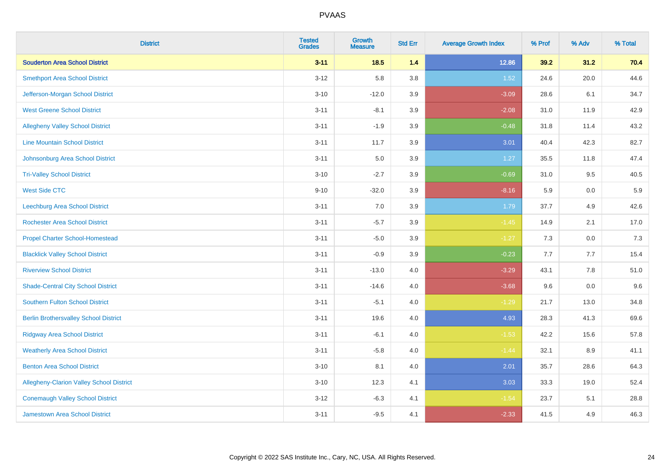| <b>District</b>                                 | <b>Tested</b><br><b>Grades</b> | <b>Growth</b><br><b>Measure</b> | <b>Std Err</b> | <b>Average Growth Index</b> | % Prof  | % Adv | % Total |
|-------------------------------------------------|--------------------------------|---------------------------------|----------------|-----------------------------|---------|-------|---------|
| <b>Souderton Area School District</b>           | $3 - 11$                       | $18.5$                          | 1.4            | 12.86                       | 39.2    | 31.2  | 70.4    |
| <b>Smethport Area School District</b>           | $3 - 12$                       | 5.8                             | 3.8            | 1.52                        | 24.6    | 20.0  | 44.6    |
| Jefferson-Morgan School District                | $3 - 10$                       | $-12.0$                         | 3.9            | $-3.09$                     | 28.6    | 6.1   | 34.7    |
| <b>West Greene School District</b>              | $3 - 11$                       | $-8.1$                          | 3.9            | $-2.08$                     | 31.0    | 11.9  | 42.9    |
| <b>Allegheny Valley School District</b>         | $3 - 11$                       | $-1.9$                          | 3.9            | $-0.48$                     | 31.8    | 11.4  | 43.2    |
| <b>Line Mountain School District</b>            | $3 - 11$                       | 11.7                            | 3.9            | 3.01                        | 40.4    | 42.3  | 82.7    |
| Johnsonburg Area School District                | $3 - 11$                       | 5.0                             | 3.9            | 1.27                        | 35.5    | 11.8  | 47.4    |
| <b>Tri-Valley School District</b>               | $3 - 10$                       | $-2.7$                          | 3.9            | $-0.69$                     | 31.0    | 9.5   | 40.5    |
| <b>West Side CTC</b>                            | $9 - 10$                       | $-32.0$                         | 3.9            | $-8.16$                     | 5.9     | 0.0   | 5.9     |
| <b>Leechburg Area School District</b>           | $3 - 11$                       | 7.0                             | 3.9            | 1.79                        | 37.7    | 4.9   | 42.6    |
| <b>Rochester Area School District</b>           | $3 - 11$                       | $-5.7$                          | 3.9            | $-1.45$                     | 14.9    | 2.1   | 17.0    |
| <b>Propel Charter School-Homestead</b>          | $3 - 11$                       | $-5.0$                          | 3.9            | $-1.27$                     | 7.3     | 0.0   | 7.3     |
| <b>Blacklick Valley School District</b>         | $3 - 11$                       | $-0.9$                          | 3.9            | $-0.23$                     | $7.7\,$ | 7.7   | 15.4    |
| <b>Riverview School District</b>                | $3 - 11$                       | $-13.0$                         | 4.0            | $-3.29$                     | 43.1    | 7.8   | 51.0    |
| <b>Shade-Central City School District</b>       | $3 - 11$                       | $-14.6$                         | 4.0            | $-3.68$                     | 9.6     | 0.0   | 9.6     |
| <b>Southern Fulton School District</b>          | $3 - 11$                       | $-5.1$                          | 4.0            | $-1.29$                     | 21.7    | 13.0  | 34.8    |
| <b>Berlin Brothersvalley School District</b>    | $3 - 11$                       | 19.6                            | 4.0            | 4.93                        | 28.3    | 41.3  | 69.6    |
| <b>Ridgway Area School District</b>             | $3 - 11$                       | $-6.1$                          | 4.0            | $-1.53$                     | 42.2    | 15.6  | 57.8    |
| <b>Weatherly Area School District</b>           | $3 - 11$                       | $-5.8$                          | 4.0            | $-1.44$                     | 32.1    | 8.9   | 41.1    |
| <b>Benton Area School District</b>              | $3 - 10$                       | 8.1                             | 4.0            | 2.01                        | 35.7    | 28.6  | 64.3    |
| <b>Allegheny-Clarion Valley School District</b> | $3 - 10$                       | 12.3                            | 4.1            | 3.03                        | 33.3    | 19.0  | 52.4    |
| <b>Conemaugh Valley School District</b>         | $3 - 12$                       | $-6.3$                          | 4.1            | $-1.54$                     | 23.7    | 5.1   | 28.8    |
| <b>Jamestown Area School District</b>           | $3 - 11$                       | $-9.5$                          | 4.1            | $-2.33$                     | 41.5    | 4.9   | 46.3    |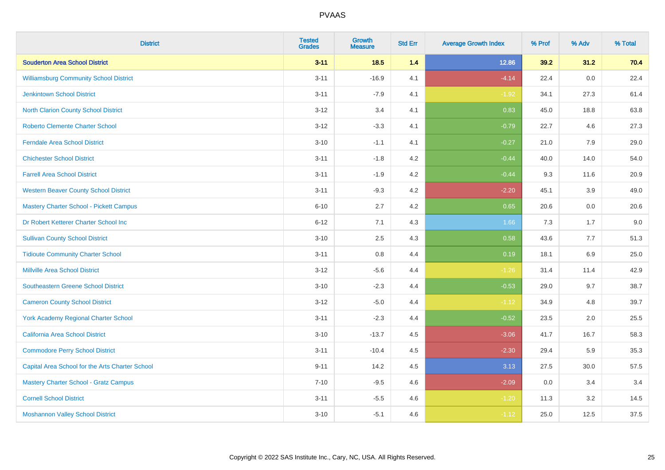| <b>District</b>                                 | <b>Tested</b><br><b>Grades</b> | <b>Growth</b><br><b>Measure</b> | <b>Std Err</b> | <b>Average Growth Index</b> | % Prof | % Adv | % Total |
|-------------------------------------------------|--------------------------------|---------------------------------|----------------|-----------------------------|--------|-------|---------|
| <b>Souderton Area School District</b>           | $3 - 11$                       | 18.5                            | 1.4            | 12.86                       | 39.2   | 31.2  | 70.4    |
| <b>Williamsburg Community School District</b>   | $3 - 11$                       | $-16.9$                         | 4.1            | $-4.14$                     | 22.4   | 0.0   | 22.4    |
| <b>Jenkintown School District</b>               | $3 - 11$                       | $-7.9$                          | 4.1            | $-1.92$                     | 34.1   | 27.3  | 61.4    |
| North Clarion County School District            | $3 - 12$                       | 3.4                             | 4.1            | 0.83                        | 45.0   | 18.8  | 63.8    |
| <b>Roberto Clemente Charter School</b>          | $3 - 12$                       | $-3.3$                          | 4.1            | $-0.79$                     | 22.7   | 4.6   | 27.3    |
| <b>Ferndale Area School District</b>            | $3 - 10$                       | $-1.1$                          | 4.1            | $-0.27$                     | 21.0   | 7.9   | 29.0    |
| <b>Chichester School District</b>               | $3 - 11$                       | $-1.8$                          | 4.2            | $-0.44$                     | 40.0   | 14.0  | 54.0    |
| <b>Farrell Area School District</b>             | $3 - 11$                       | $-1.9$                          | 4.2            | $-0.44$                     | 9.3    | 11.6  | 20.9    |
| <b>Western Beaver County School District</b>    | $3 - 11$                       | $-9.3$                          | 4.2            | $-2.20$                     | 45.1   | 3.9   | 49.0    |
| <b>Mastery Charter School - Pickett Campus</b>  | $6 - 10$                       | 2.7                             | 4.2            | 0.65                        | 20.6   | 0.0   | 20.6    |
| Dr Robert Ketterer Charter School Inc           | $6 - 12$                       | 7.1                             | 4.3            | 1.66                        | 7.3    | 1.7   | 9.0     |
| <b>Sullivan County School District</b>          | $3 - 10$                       | 2.5                             | 4.3            | 0.58                        | 43.6   | 7.7   | 51.3    |
| <b>Tidioute Community Charter School</b>        | $3 - 11$                       | $0.8\,$                         | 4.4            | 0.19                        | 18.1   | 6.9   | 25.0    |
| <b>Millville Area School District</b>           | $3 - 12$                       | $-5.6$                          | 4.4            | $-1.26$                     | 31.4   | 11.4  | 42.9    |
| <b>Southeastern Greene School District</b>      | $3 - 10$                       | $-2.3$                          | 4.4            | $-0.53$                     | 29.0   | 9.7   | 38.7    |
| <b>Cameron County School District</b>           | $3 - 12$                       | $-5.0$                          | 4.4            | $-1.12$                     | 34.9   | 4.8   | 39.7    |
| <b>York Academy Regional Charter School</b>     | $3 - 11$                       | $-2.3$                          | 4.4            | $-0.52$                     | 23.5   | 2.0   | 25.5    |
| California Area School District                 | $3 - 10$                       | $-13.7$                         | 4.5            | $-3.06$                     | 41.7   | 16.7  | 58.3    |
| <b>Commodore Perry School District</b>          | $3 - 11$                       | $-10.4$                         | 4.5            | $-2.30$                     | 29.4   | 5.9   | 35.3    |
| Capital Area School for the Arts Charter School | $9 - 11$                       | 14.2                            | 4.5            | 3.13                        | 27.5   | 30.0  | 57.5    |
| <b>Mastery Charter School - Gratz Campus</b>    | $7 - 10$                       | $-9.5$                          | 4.6            | $-2.09$                     | 0.0    | 3.4   | 3.4     |
| <b>Cornell School District</b>                  | $3 - 11$                       | $-5.5$                          | 4.6            | $-1.20$                     | 11.3   | 3.2   | 14.5    |
| <b>Moshannon Valley School District</b>         | $3 - 10$                       | $-5.1$                          | 4.6            | $-1.12$                     | 25.0   | 12.5  | 37.5    |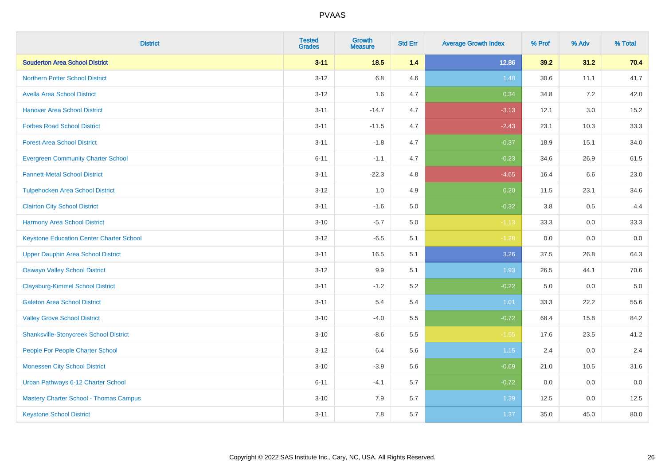| <b>District</b>                                 | <b>Tested</b><br><b>Grades</b> | <b>Growth</b><br><b>Measure</b> | <b>Std Err</b> | <b>Average Growth Index</b> | % Prof | % Adv   | % Total |
|-------------------------------------------------|--------------------------------|---------------------------------|----------------|-----------------------------|--------|---------|---------|
| <b>Souderton Area School District</b>           | $3 - 11$                       | 18.5                            | 1.4            | 12.86                       | 39.2   | 31.2    | 70.4    |
| <b>Northern Potter School District</b>          | $3 - 12$                       | 6.8                             | 4.6            | 1.48                        | 30.6   | 11.1    | 41.7    |
| <b>Avella Area School District</b>              | $3 - 12$                       | 1.6                             | 4.7            | 0.34                        | 34.8   | 7.2     | 42.0    |
| <b>Hanover Area School District</b>             | $3 - 11$                       | $-14.7$                         | 4.7            | $-3.13$                     | 12.1   | 3.0     | 15.2    |
| <b>Forbes Road School District</b>              | $3 - 11$                       | $-11.5$                         | 4.7            | $-2.43$                     | 23.1   | 10.3    | 33.3    |
| <b>Forest Area School District</b>              | $3 - 11$                       | $-1.8$                          | 4.7            | $-0.37$                     | 18.9   | 15.1    | 34.0    |
| <b>Evergreen Community Charter School</b>       | $6 - 11$                       | $-1.1$                          | 4.7            | $-0.23$                     | 34.6   | 26.9    | 61.5    |
| <b>Fannett-Metal School District</b>            | $3 - 11$                       | $-22.3$                         | 4.8            | $-4.65$                     | 16.4   | 6.6     | 23.0    |
| <b>Tulpehocken Area School District</b>         | $3 - 12$                       | 1.0                             | 4.9            | 0.20                        | 11.5   | 23.1    | 34.6    |
| <b>Clairton City School District</b>            | $3 - 11$                       | $-1.6$                          | 5.0            | $-0.32$                     | 3.8    | $0.5\,$ | 4.4     |
| <b>Harmony Area School District</b>             | $3 - 10$                       | $-5.7$                          | 5.0            | $-1.13$                     | 33.3   | 0.0     | 33.3    |
| <b>Keystone Education Center Charter School</b> | $3 - 12$                       | $-6.5$                          | 5.1            | $-1.28$                     | 0.0    | 0.0     | 0.0     |
| <b>Upper Dauphin Area School District</b>       | $3 - 11$                       | 16.5                            | 5.1            | 3.26                        | 37.5   | 26.8    | 64.3    |
| <b>Oswayo Valley School District</b>            | $3 - 12$                       | 9.9                             | 5.1            | 1.93                        | 26.5   | 44.1    | 70.6    |
| <b>Claysburg-Kimmel School District</b>         | $3 - 11$                       | $-1.2$                          | 5.2            | $-0.22$                     | 5.0    | 0.0     | $5.0\,$ |
| <b>Galeton Area School District</b>             | $3 - 11$                       | 5.4                             | 5.4            | 1.01                        | 33.3   | 22.2    | 55.6    |
| <b>Valley Grove School District</b>             | $3 - 10$                       | $-4.0$                          | 5.5            | $-0.72$                     | 68.4   | 15.8    | 84.2    |
| <b>Shanksville-Stonycreek School District</b>   | $3 - 10$                       | $-8.6$                          | 5.5            | $-1.55$                     | 17.6   | 23.5    | 41.2    |
| People For People Charter School                | $3-12$                         | 6.4                             | 5.6            | 1.15                        | 2.4    | 0.0     | 2.4     |
| <b>Monessen City School District</b>            | $3 - 10$                       | $-3.9$                          | 5.6            | $-0.69$                     | 21.0   | 10.5    | 31.6    |
| Urban Pathways 6-12 Charter School              | $6 - 11$                       | $-4.1$                          | 5.7            | $-0.72$                     | 0.0    | 0.0     | 0.0     |
| Mastery Charter School - Thomas Campus          | $3 - 10$                       | 7.9                             | 5.7            | 1.39                        | 12.5   | 0.0     | 12.5    |
| <b>Keystone School District</b>                 | $3 - 11$                       | 7.8                             | 5.7            | 1.37                        | 35.0   | 45.0    | 80.0    |